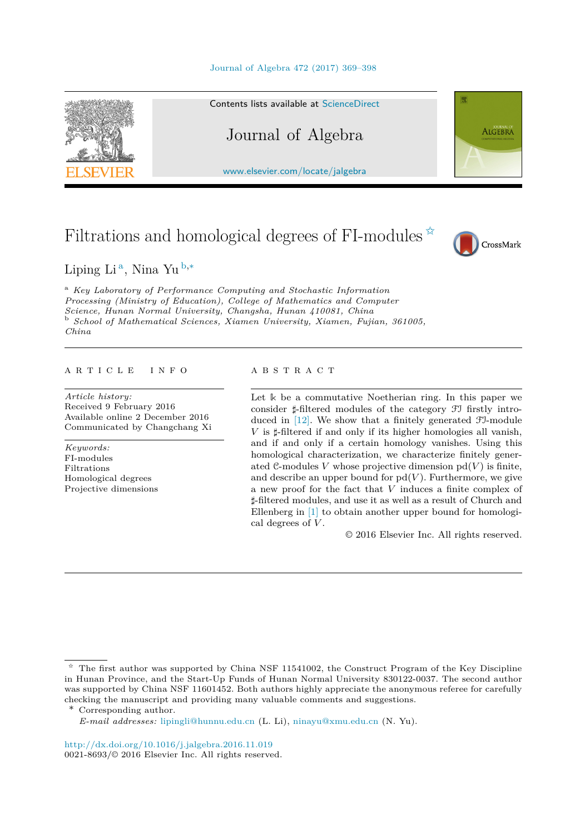



Contents lists available at [ScienceDirect](http://www.ScienceDirect.com/)

# Journal of Algebra

[www.elsevier.com/locate/jalgebra](http://www.elsevier.com/locate/jalgebra)

# Filtrations and homological degrees of FI-modules  $\overline{\mathbf{x}}$



**ALGEBRA** 

Liping Li <sup>a</sup>, Nina Yu <sup>b</sup>*,*<sup>∗</sup>

<sup>a</sup> *Key Laboratory of Performance Computing and Stochastic Information Processing (Ministry of Education), College of Mathematics and Computer Science, Hunan Normal University, Changsha, Hunan*  $110081$ *, China* School of Mathematical Sciences, Xiamen University, Xiamen, Fujian, 361005, *China*

#### A R T I C L E I N F O A B S T R A C T

*Article history:* Received 9 February 2016 Available online 2 December 2016 Communicated by Changchang Xi

*Keywords:* FI-modules Filtrations Homological degrees Projective dimensions

Let **k** be a commutative Noetherian ring. In this paper we consider  $\sharp$ -filtered modules of the category  $\mathfrak{F}$  firstly introduced in [\[12\].](#page-29-0) We show that a finitely generated FI-module  $V$  is  $\sharp$ -filtered if and only if its higher homologies all vanish, and if and only if a certain homology vanishes. Using this homological characterization, we characterize finitely generated  $\mathcal{C}$ -modules *V* whose projective dimension  $pd(V)$  is finite, and describe an upper bound for  $pd(V)$ . Furthermore, we give a new proof for the fact that *V* induces a finite complex of *-*-filtered modules, and use it as well as a result of Church and Ellenberg in [\[1\]](#page-29-0) to obtain another upper bound for homological degrees of *V* .

© 2016 Elsevier Inc. All rights reserved.

<sup>✩</sup> The first author was supported by China NSF 11541002, the Construct Program of the Key Discipline in Hunan Province, and the Start-Up Funds of Hunan Normal University 830122-0037. The second author was supported by China NSF 11601452. Both authors highly appreciate the anonymous referee for carefully checking the manuscript and providing many valuable comments and suggestions.

<sup>\*</sup> Corresponding author.

*E-mail addresses:* [lipingli@hunnu.edu.cn](mailto:lipingli@hunnu.edu.cn) (L. Li), [ninayu@xmu.edu.cn](mailto:ninayu@xmu.edu.cn) (N. Yu).

<http://dx.doi.org/10.1016/j.jalgebra.2016.11.019> 0021-8693/© 2016 Elsevier Inc. All rights reserved.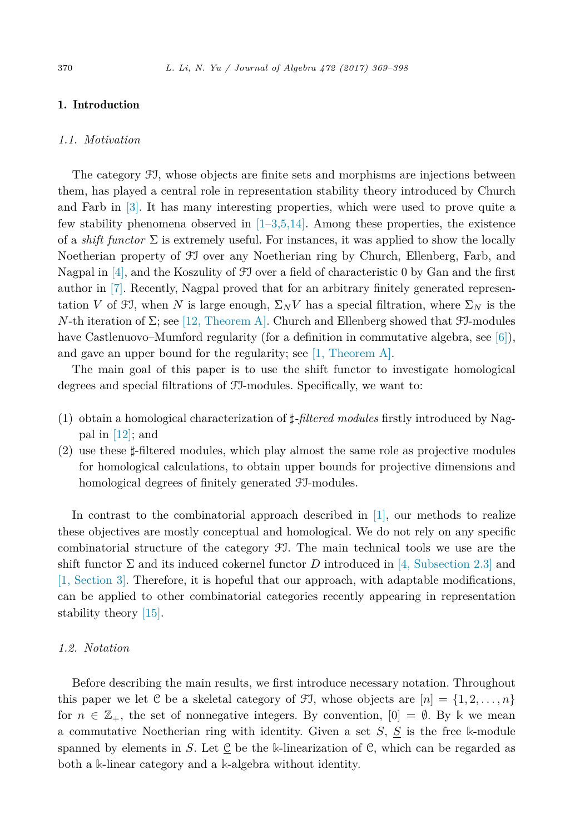# <span id="page-1-0"></span>1. Introduction

# *1.1. Motivation*

The category FI, whose objects are finite sets and morphisms are injections between them, has played a central role in representation stability theory introduced by Church and Farb in [\[3\].](#page-29-0) It has many interesting properties, which were used to prove quite a few stability phenomena observed in  $[1-3,5,14]$ . Among these properties, the existence of a *shift functor*  $\Sigma$  is extremely useful. For instances, it was applied to show the locally Noetherian property of FI over any Noetherian ring by Church, Ellenberg, Farb, and Nagpal in [\[4\],](#page-29-0) and the Koszulity of FI over a field of characteristic 0 by Gan and the first author in [\[7\].](#page-29-0) Recently, Nagpal proved that for an arbitrary finitely generated representation *V* of  $\mathfrak{F}$ , when *N* is large enough,  $\Sigma_N V$  has a special filtration, where  $\Sigma_N$  is the *N*-th iteration of  $\Sigma$ ; see [12, [Theorem A\].](#page-29-0) Church and Ellenberg showed that  $\mathcal{F}J$ -modules have Castlenuovo–Mumford regularity (for a definition in commutative algebra, see [\[6\]\)](#page-29-0), and gave an upper bound for the regularity; see [1, [Theorem A\].](#page-29-0)

The main goal of this paper is to use the shift functor to investigate homological degrees and special filtrations of FI-modules. Specifically, we want to:

- (1) obtain a homological characterization of  $\sharp$ -*filtered modules* firstly introduced by Nagpal in [\[12\];](#page-29-0) and
- (2) use these  $\sharp$ -filtered modules, which play almost the same role as projective modules for homological calculations, to obtain upper bounds for projective dimensions and homological degrees of finitely generated FI-modules.

In contrast to the combinatorial approach described in [\[1\],](#page-29-0) our methods to realize these objectives are mostly conceptual and homological. We do not rely on any specific combinatorial structure of the category FI. The main technical tools we use are the shift functor  $\Sigma$  and its induced cokernel functor *D* introduced in [4, [Subsection](#page-29-0) 2.3] and [1, [Section](#page-29-0) 3]. Therefore, it is hopeful that our approach, with adaptable modifications, can be applied to other combinatorial categories recently appearing in representation stability theory [\[15\].](#page-29-0)

# *1.2. Notation*

Before describing the main results, we first introduce necessary notation. Throughout this paper we let C be a skeletal category of FI, whose objects are  $[n] = \{1, 2, \ldots, n\}$ for  $n \in \mathbb{Z}_+$ , the set of nonnegative integers. By convention,  $[0] = \emptyset$ . By k we mean a commutative Noetherian ring with identity. Given a set *S*, *S* is the free **k**-module spanned by elements in *S*. Let  $\underline{C}$  be the k-linearization of C, which can be regarded as both a **k**-linear category and a **k**-algebra without identity.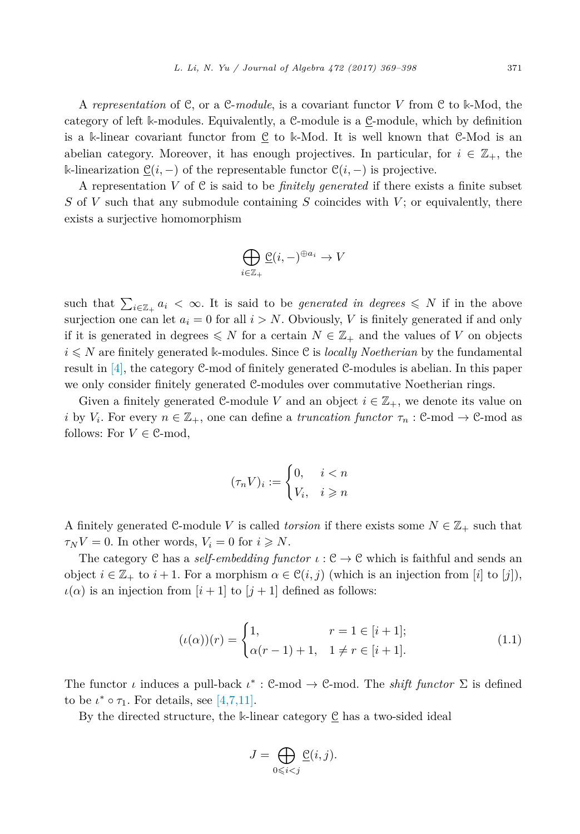<span id="page-2-0"></span>A *representation* of C, or a C-*module*, is a covariant functor *V* from C to **k**-Mod, the category of left k-modules. Equivalently, a C-module is a C-module, which by definition is a **k**-linear covariant functor from C to **k**-Mod. It is well known that C-Mod is an abelian category. Moreover, it has enough projectives. In particular, for  $i \in \mathbb{Z}_+$ , the **k**-linearization  $\mathcal{C}(i, -)$  of the representable functor  $\mathcal{C}(i, -)$  is projective.

A representation *V* of C is said to be *finitely generated* if there exists a finite subset *S* of *V* such that any submodule containing *S* coincides with *V* ; or equivalently, there exists a surjective homomorphism

$$
\bigoplus_{i\in\mathbb{Z}_+}\underline{\mathcal{C}}(i,-)^{\oplus a_i}\to V
$$

such that  $\sum_{i\in\mathbb{Z}_+} a_i < \infty$ . It is said to be *generated* in degrees  $\leq N$  if in the above surjection one can let  $a_i = 0$  for all  $i > N$ . Obviously, V is finitely generated if and only if it is generated in degrees  $\leq N$  for a certain  $N \in \mathbb{Z}_+$  and the values of *V* on objects  $i \leq N$  are finitely generated k-modules. Since C is *locally Noetherian* by the fundamental result in [\[4\],](#page-29-0) the category C-mod of finitely generated C-modules is abelian. In this paper we only consider finitely generated C-modules over commutative Noetherian rings.

Given a finitely generated C-module V and an object  $i \in \mathbb{Z}_+$ , we denote its value on *i* by  $V_i$ . For every  $n \in \mathbb{Z}_+$ , one can define a *truncation functor*  $\tau_n$  : C-mod  $\rightarrow$  C-mod as follows: For  $V \in \mathcal{C}$ -mod,

$$
(\tau_n V)_i := \begin{cases} 0, & i < n \\ V_i, & i \geqslant n \end{cases}
$$

A finitely generated  $\mathcal{C}$ -module *V* is called *torsion* if there exists some  $N \in \mathbb{Z}_+$  such that  $\tau_N V = 0$ . In other words,  $V_i = 0$  for  $i \geq N$ .

The category C has a *self-embedding functor*  $\iota$  :  $C \to C$  which is faithful and sends an object  $i \in \mathbb{Z}_+$  to  $i+1$ . For a morphism  $\alpha \in \mathcal{C}(i,j)$  (which is an injection from [*i*] to [*j*]),  $\iota(\alpha)$  is an injection from  $[i+1]$  to  $[j+1]$  defined as follows:

$$
(\iota(\alpha))(r) = \begin{cases} 1, & r = 1 \in [i+1]; \\ \alpha(r-1) + 1, & 1 \neq r \in [i+1]. \end{cases}
$$
(1.1)

The functor *ι* induces a pull-back  $\iota^*$ : C-mod  $\to$  C-mod. The *shift functor*  $\Sigma$  is defined to be  $\iota^* \circ \tau_1$ . For details, see [\[4,7,11\].](#page-29-0)

By the directed structure, the  $\Bbbk$ -linear category  $\underline{\mathcal{C}}$  has a two-sided ideal

$$
J=\bigoplus_{0\leqslant i
$$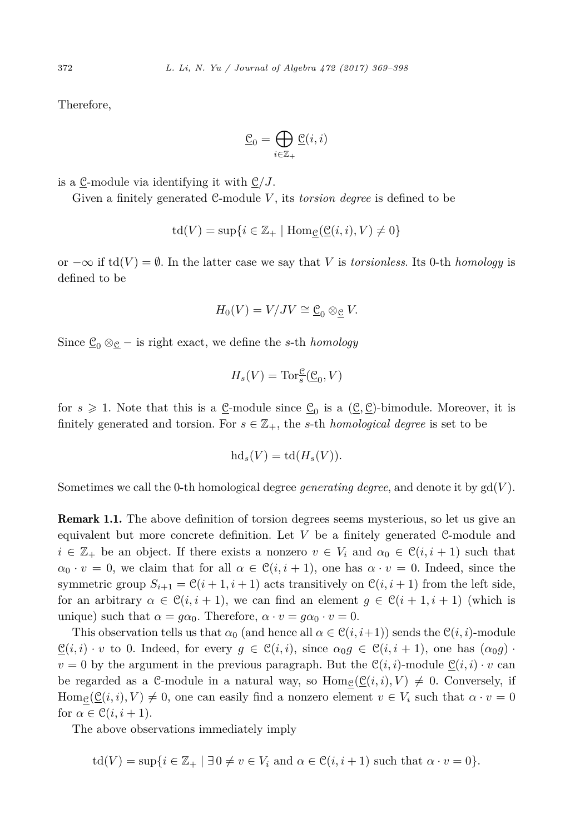Therefore,

$$
\underline{\mathcal{C}}_0 = \bigoplus_{i \in \mathbb{Z}_+} \underline{\mathcal{C}}(i, i)
$$

is a C-module via identifying it with C*/J*.

Given a finitely generated C-module V, its *torsion degree* is defined to be

$$
\operatorname{td}(V) = \sup\{i \in \mathbb{Z}_+ \mid \operatorname{Hom}_{\underline{\mathcal{C}}}(\underline{\mathcal{C}}(i,i),V) \neq 0\}
$$

or  $-\infty$  if td(*V*) =  $\emptyset$ . In the latter case we say that *V* is *torsionless*. Its 0-th *homology* is defined to be

$$
H_0(V) = V/JV \cong \underline{\mathcal{C}}_0 \otimes_{\underline{\mathcal{C}}} V.
$$

Since  $\underline{\mathcal{C}}_0 \otimes_{\underline{\mathcal{C}}} -$  is right exact, we define the *s*-th *homology* 

$$
H_s(V) = \operatorname{Tor}_s^{\mathfrak{C}}(\underline{\mathfrak{C}}_0, V)
$$

for  $s \geq 1$ . Note that this is a <u>C</u>-module since  $\underline{C}_0$  is a  $(\underline{C}, \underline{C})$ -bimodule. Moreover, it is finitely generated and torsion. For  $s \in \mathbb{Z}_+$ , the *s*-th *homological degree* is set to be

$$
\mathrm{hd}_s(V)=\mathrm{td}(H_s(V)).
$$

Sometimes we call the 0-th homological degree *generating degree*, and denote it by  $gd(V)$ .

**Remark 1.1.** The above definition of torsion degrees seems mysterious, so let us give an equivalent but more concrete definition. Let *V* be a finitely generated C-module and  $i \in \mathbb{Z}_+$  be an object. If there exists a nonzero  $v \in V_i$  and  $\alpha_0 \in \mathcal{C}(i, i+1)$  such that  $\alpha_0 \cdot v = 0$ , we claim that for all  $\alpha \in \mathcal{C}(i, i + 1)$ , one has  $\alpha \cdot v = 0$ . Indeed, since the symmetric group  $S_{i+1} = \mathcal{C}(i+1, i+1)$  acts transitively on  $\mathcal{C}(i, i+1)$  from the left side, for an arbitrary  $\alpha \in \mathcal{C}(i, i + 1)$ , we can find an element  $g \in \mathcal{C}(i + 1, i + 1)$  (which is unique) such that  $\alpha = g\alpha_0$ . Therefore,  $\alpha \cdot v = g\alpha_0 \cdot v = 0$ .

This observation tells us that  $\alpha_0$  (and hence all  $\alpha \in \mathcal{C}(i, i+1)$ ) sends the  $\mathcal{C}(i, i)$ -module  $\underline{\mathcal{C}}(i,i) \cdot v$  to 0. Indeed, for every  $g \in \mathcal{C}(i,i)$ , since  $\alpha_0 g \in \mathcal{C}(i,i+1)$ , one has  $(\alpha_0 g) \cdot v$  $v = 0$  by the argument in the previous paragraph. But the  $\mathcal{C}(i, i)$ -module  $\underline{\mathcal{C}}(i, i) \cdot v$  can be regarded as a C-module in a natural way, so  $\text{Hom}_{\mathcal{C}}(\mathcal{C}(i,i), V) \neq 0$ . Conversely, if  $\text{Hom}_{\mathcal{C}}(\underline{\mathcal{C}}(i,i), V) \neq 0$ , one can easily find a nonzero element  $v \in V_i$  such that  $\alpha \cdot v = 0$ for  $\alpha \in \mathcal{C}(i, i+1)$ .

The above observations immediately imply

$$
\operatorname{td}(V) = \sup\{i \in \mathbb{Z}_+ \mid \exists 0 \neq v \in V_i \text{ and } \alpha \in \mathcal{C}(i, i+1) \text{ such that } \alpha \cdot v = 0\}.
$$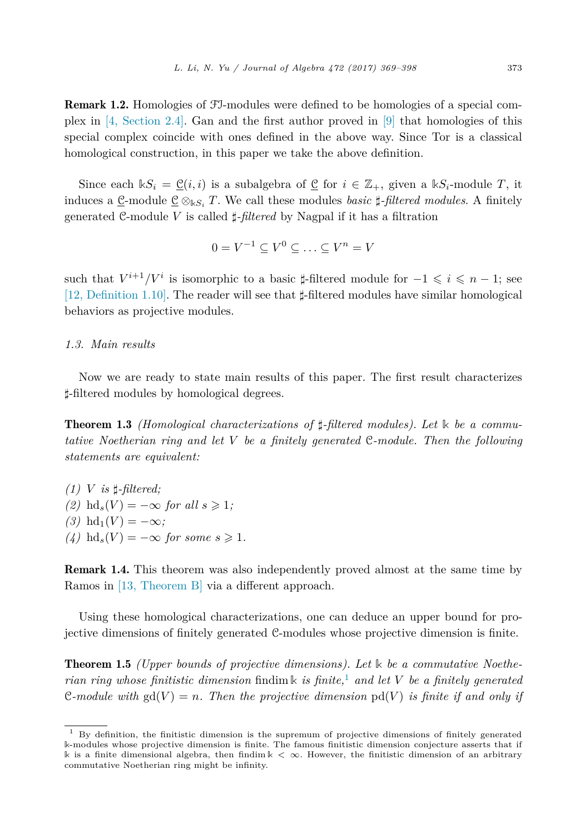<span id="page-4-0"></span>Remark 1.2. Homologies of FI-modules were defined to be homologies of a special complex in [4, [Section](#page-29-0) 2.4]. Gan and the first author proved in [\[9\]](#page-29-0) that homologies of this special complex coincide with ones defined in the above way. Since Tor is a classical homological construction, in this paper we take the above definition.

Since each  $\mathbb{k}S_i = \mathcal{C}(i,i)$  is a subalgebra of  $\mathcal{C}$  for  $i \in \mathbb{Z}_+$ , given a  $\mathbb{k}S_i$ -module *T*, it induces a <u>C</u>-module  $\underline{C} \otimes_{\Bbbk S_i} T$ . We call these modules *basic*  $\sharp$ -*filtered modules*. A finitely generated C-module *V* is called  $\sharp$ -*filtered* by Nagpal if it has a filtration

$$
0 = V^{-1} \subseteq V^0 \subseteq \ldots \subseteq V^n = V
$$

such that  $V^{i+1}/V^i$  is isomorphic to a basic  $\sharp$ -filtered module for  $-1 \leq i \leq n-1$ ; see [12, [Definition](#page-29-0) 1.10]. The reader will see that  $\sharp$ -filtered modules have similar homological behaviors as projective modules.

# *1.3. Main results*

Now we are ready to state main results of this paper. The first result characterizes *-*-filtered modules by homological degrees.

**Theorem 1.3** *(Homological characterizations of*  $\sharp$ -*filtered modules).* Let k be a commu*tative Noetherian ring and let V be a finitely generated* C*-module. Then the following statements are equivalent:*

 $(1)$  *V is*  $\sharp$ -*filtered*; *(2)* hd<sub>s</sub>(*V*) = −∞ *for all*  $s \ge 1$ *;*  $(3)$  hd<sub>1</sub> $(V) = -\infty$ ;  $(4)$  hd<sub>s</sub> $(V) = -\infty$  *for some*  $s \ge 1$ *.* 

Remark 1.4. This theorem was also independently proved almost at the same time by Ramos in [13, [Theorem B\]](#page-29-0) via a different approach.

Using these homological characterizations, one can deduce an upper bound for projective dimensions of finitely generated C-modules whose projective dimension is finite.

Theorem 1.5 *(Upper bounds of projective dimensions). Let* **k** *be a commutative Noetherian ring whose finitistic dimension* findim **k** *is finite,*<sup>1</sup> *and let V be a finitely generated* C-module with  $gd(V) = n$ . Then the projective dimension  $pd(V)$  is finite if and only if

 $1$  By definition, the finitistic dimension is the supremum of projective dimensions of finitely generated **k**-modules whose projective dimension is finite. The famous finitistic dimension conjecture asserts that if **k** is a finite dimensional algebra, then findim **k** *<* ∞. However, the finitistic dimension of an arbitrary commutative Noetherian ring might be infinity.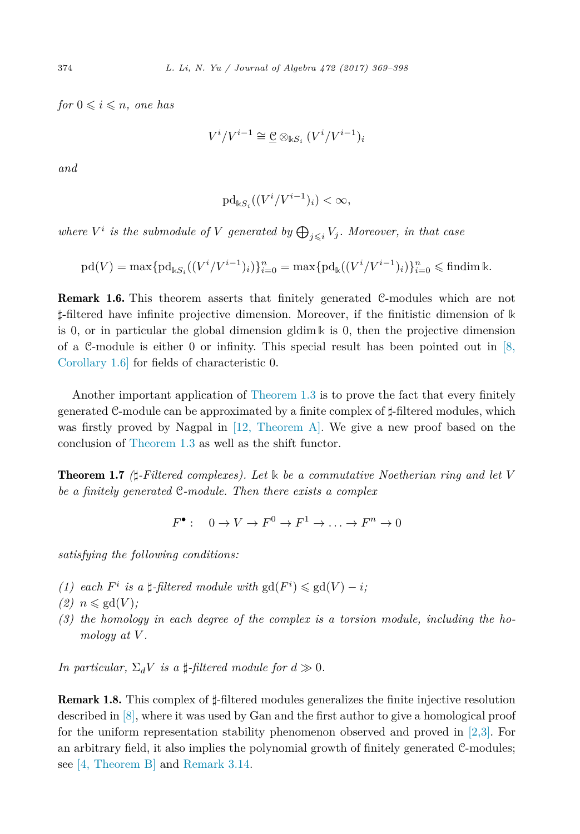$for 0 \leqslant i \leqslant n, one has$ 

$$
V^i/V^{i-1} \cong \underline{\mathcal{C}} \otimes_{\mathbb{k}S_i} (V^i/V^{i-1})_i
$$

*and*

$$
\mathrm{pd}_{\Bbbk S_i}((V^i/V^{i-1})_i)<\infty,
$$

*where*  $V^i$  *is the submodule of*  $V$  *generated by*  $\bigoplus_{j \leq i} V_j$ *. Moreover, in that case* 

$$
\text{pd}(V) = \max \{ \text{pd}_{\mathbb{k}S_i}((V^i/V^{i-1})_i) \}_{i=0}^n = \max \{ \text{pd}_{\mathbb{k}}((V^i/V^{i-1})_i) \}_{i=0}^n \leq \text{findim } \mathbb{k}.
$$

Remark 1.6. This theorem asserts that finitely generated C-modules which are not *-*-filtered have infinite projective dimension. Moreover, if the finitistic dimension of **k** is 0, or in particular the global dimension gldim **k** is 0, then the projective dimension of a C-module is either 0 or infinity. This special result has been pointed out in  $[8,$ [Corollary 1.6\]](#page-29-0) for fields of characteristic 0.

Another important application of [Theorem 1.3](#page-4-0) is to prove the fact that every finitely generated C-module can be approximated by a finite complex of  $\sharp$ -filtered modules, which was firstly proved by Nagpal in [12, [Theorem A\].](#page-29-0) We give a new proof based on the conclusion of [Theorem 1.3](#page-4-0) as well as the shift functor.

Theorem 1.7 *(--Filtered complexes). Let* **k** *be a commutative Noetherian ring and let V be a finitely generated* C*-module. Then there exists a complex*

 $F^{\bullet}$  · 0  $\rightarrow$   $V \rightarrow F^0 \rightarrow F^1 \rightarrow \ldots \rightarrow F^n \rightarrow 0$ 

*satisfying the following conditions:*

- *(1)* each  $F^i$  *is a*  $\sharp$ -filtered module with  $gd(F^i) \leq gd(V) i$ ;
- $(2)$   $n \leqslant \text{gd}(V)$ ;
- *(3) the homology in each degree of the complex is a torsion module, including the homology at V .*

*In particular,*  $\Sigma_d V$  *is a*  $\sharp$ -*filtered module for*  $d \gg 0$ *.* 

**Remark 1.8.** This complex of  $\sharp$ -filtered modules generalizes the finite injective resolution described in [\[8\],](#page-29-0) where it was used by Gan and the first author to give a homological proof for the uniform representation stability phenomenon observed and proved in [\[2,3\].](#page-29-0) For an arbitrary field, it also implies the polynomial growth of finitely generated C-modules; see [4, [Theorem B\]](#page-29-0) and [Remark 3.14.](#page-20-0)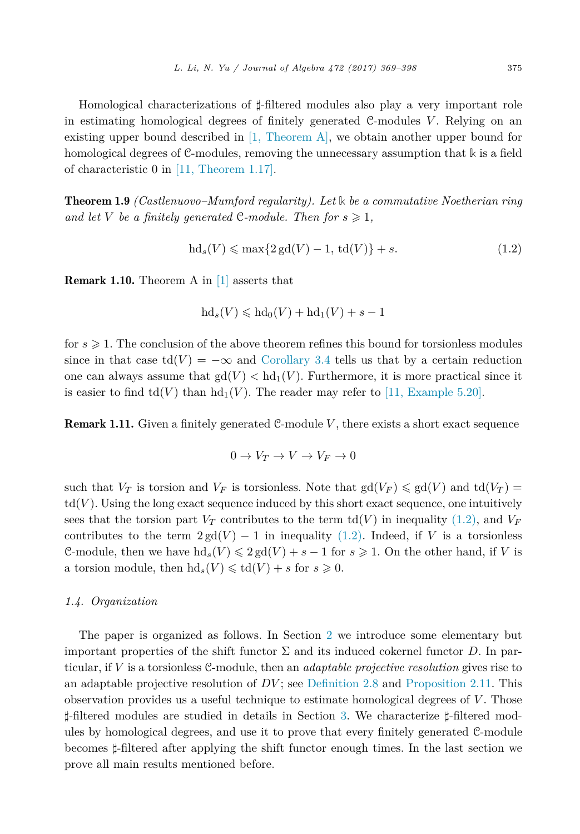<span id="page-6-0"></span>Homological characterizations of  $\sharp$ -filtered modules also play a very important role in estimating homological degrees of finitely generated C-modules *V* . Relying on an existing upper bound described in [1, [Theorem A\],](#page-29-0) we obtain another upper bound for homological degrees of C-modules, removing the unnecessary assumption that **k** is a field of characteristic 0 in [11, [Theorem 1.17\].](#page-29-0)

Theorem 1.9 *(Castlenuovo–Mumford regularity). Let* **k** *be a commutative Noetherian ring and let V be a finitely* generated C-module. Then for  $s \geq 1$ ,

$$
hd_s(V) \le \max\{2\,\text{gd}(V) - 1, \,\text{td}(V)\} + s. \tag{1.2}
$$

Remark 1.10. Theorem A in [\[1\]](#page-29-0) asserts that

$$
\mathrm{hd}_s(V) \leqslant \mathrm{hd}_0(V) + \mathrm{hd}_1(V) + s - 1
$$

for  $s \geqslant 1$ . The conclusion of the above theorem refines this bound for torsionless modules since in that case  $td(V) = -\infty$  and [Corollary 3.4](#page-15-0) tells us that by a certain reduction one can always assume that  $gd(V) < hd_1(V)$ . Furthermore, it is more practical since it is easier to find  $td(V)$  than  $hd_1(V)$ . The reader may refer to [11, [Example](#page-29-0) 5.20].

**Remark 1.11.** Given a finitely generated C-module V, there exists a short exact sequence

$$
0 \to V_T \to V \to V_F \to 0
$$

such that  $V_T$  is torsion and  $V_F$  is torsionless. Note that  $gd(V_F) \leq gd(V)$  and  $td(V_T)$  $td(V)$ . Using the long exact sequence induced by this short exact sequence, one intuitively sees that the torsion part  $V_T$  contributes to the term  $\text{td}(V)$  in inequality (1.2), and  $V_F$ contributes to the term  $2\text{gd}(V) - 1$  in inequality (1.2). Indeed, if *V* is a torsionless C-module, then we have  $\text{hd}_s(V) \leq 2 \text{gd}(V) + s - 1$  for  $s \geq 1$ . On the other hand, if *V* is a torsion module, then  $\text{hd}_s(V) \leq \text{td}(V) + s$  for  $s \geq 0$ .

# *1.4. Organization*

The paper is organized as follows. In Section [2](#page-7-0) we introduce some elementary but important properties of the shift functor  $\Sigma$  and its induced cokernel functor *D*. In particular, if *V* is a torsionless C-module, then an *adaptable projective resolution* gives rise to an adaptable projective resolution of *DV* ; see [Definition 2.8](#page-10-0) and [Proposition 2.11.](#page-12-0) This observation provides us a useful technique to estimate homological degrees of *V* . Those <sup> $\sharp$ </sup>-filtered modules are studied in details in Section [3.](#page-13-0) We characterize  $\sharp$ -filtered modules by homological degrees, and use it to prove that every finitely generated C-module becomes  $\sharp$ -filtered after applying the shift functor enough times. In the last section we prove all main results mentioned before.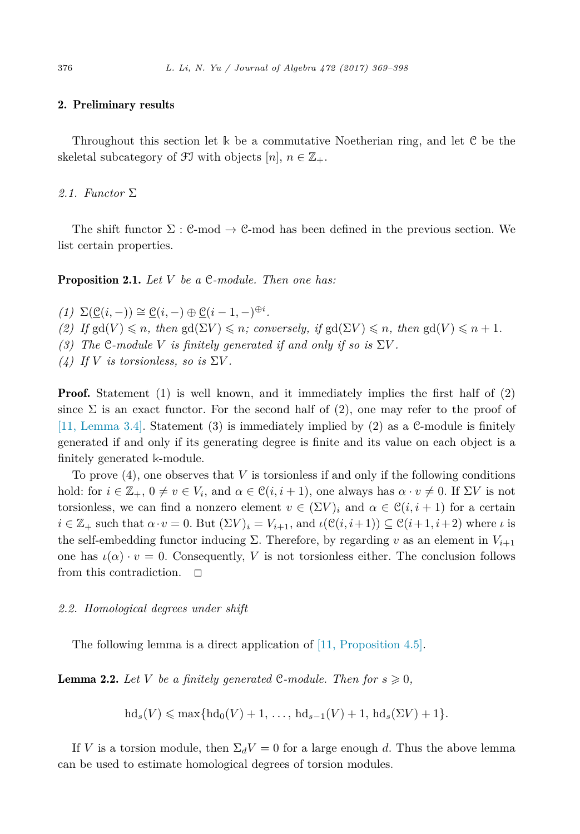## <span id="page-7-0"></span>2. Preliminary results

Throughout this section let **k** be a commutative Noetherian ring, and let C be the skeletal subcategory of  $\mathfrak{F}$  with objects  $[n], n \in \mathbb{Z}_+$ .

## *2.1. Functor* Σ

The shift functor  $\Sigma : \mathcal{C}$ -mod  $\rightarrow \mathcal{C}$ -mod has been defined in the previous section. We list certain properties.

Proposition 2.1. *Let V be a* C*-module. Then one has:*

 $(1)$   $\Sigma(\underline{\mathcal{C}}(i,-)) \cong \underline{\mathcal{C}}(i,-) \oplus \underline{\mathcal{C}}(i-1,-)^{\oplus i}.$ 

 $(2)$  *If*  $gd(V) \leq n$ , *then*  $gd(\Sigma V) \leq n$ ; *conversely, if*  $gd(\Sigma V) \leq n$ , *then*  $gd(V) \leq n+1$ *.* 

*(3)* The C-module V is finitely generated if and only if so is  $\Sigma V$ .

*(4)* If *V* is torsionless, so is  $\Sigma V$ .

**Proof.** Statement (1) is well known, and it immediately implies the first half of (2) since  $\Sigma$  is an exact functor. For the second half of (2), one may refer to the proof of [11, [Lemma](#page-29-0) 3.4]. Statement (3) is immediately implied by (2) as a C-module is finitely generated if and only if its generating degree is finite and its value on each object is a finitely generated **k**-module.

To prove (4), one observes that *V* is torsionless if and only if the following conditions hold: for  $i \in \mathbb{Z}_+$ ,  $0 \neq v \in V_i$ , and  $\alpha \in \mathcal{C}(i, i+1)$ , one always has  $\alpha \cdot v \neq 0$ . If  $\Sigma V$  is not torsionless, we can find a nonzero element  $v \in (\Sigma V)_i$  and  $\alpha \in \mathcal{C}(i, i + 1)$  for a certain  $i \in \mathbb{Z}_+$  such that  $\alpha \cdot v = 0$ . But  $(\Sigma V)_i = V_{i+1}$ , and  $\iota(\mathcal{C}(i, i+1)) \subseteq \mathcal{C}(i+1, i+2)$  where *ι* is the self-embedding functor inducing  $\Sigma$ . Therefore, by regarding *v* as an element in  $V_{i+1}$ one has  $\iota(\alpha) \cdot v = 0$ . Consequently, *V* is not torsionless either. The conclusion follows from this contradiction.  $\Box$ 

#### *2.2. Homological degrees under shift*

The following lemma is a direct application of [11, [Proposition](#page-29-0) 4.5].

**Lemma 2.2.** Let V be a finitely generated C-module. Then for  $s \geq 0$ ,

$$
hd_s(V) \leq \max\{hd_0(V) + 1, \ldots, hd_{s-1}(V) + 1, hd_s(\Sigma V) + 1\}.
$$

If *V* is a torsion module, then  $\Sigma_d V = 0$  for a large enough *d*. Thus the above lemma can be used to estimate homological degrees of torsion modules.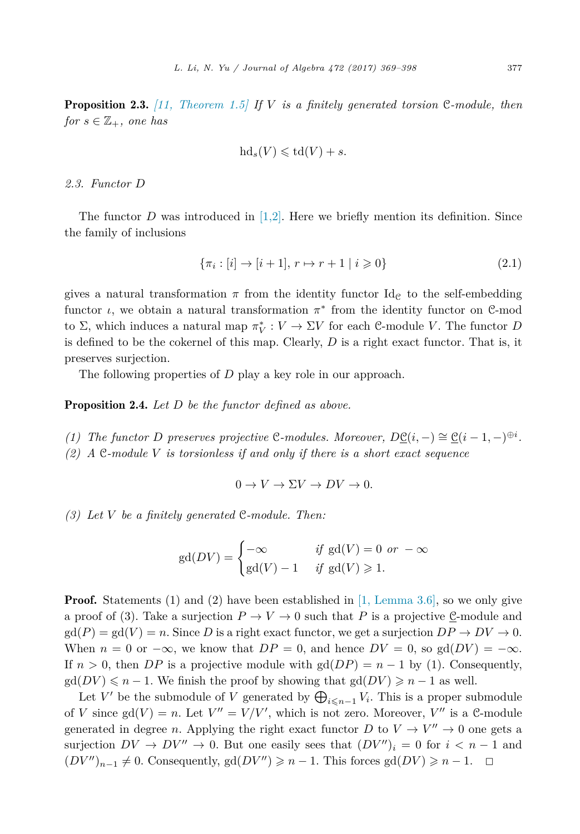<span id="page-8-0"></span>Proposition 2.3. *[11, [Theorem 1.5\]](#page-29-0) If V is a finitely generated torsion* C*-module, then for*  $s \in \mathbb{Z}_+$ *, one has* 

$$
\mathrm{hd}_s(V) \leqslant \mathrm{td}(V) + s.
$$

#### *2.3. Functor D*

The functor *D* was introduced in  $[1,2]$ . Here we briefly mention its definition. Since the family of inclusions

$$
\{\pi_i : [i] \to [i+1], r \mapsto r+1 \mid i \geqslant 0\} \tag{2.1}
$$

gives a natural transformation  $\pi$  from the identity functor Id<sub>C</sub> to the self-embedding functor *ι*, we obtain a natural transformation *π*<sup>∗</sup> from the identity functor on C-mod to  $\Sigma$ , which induces a natural map  $\pi_V^* : V \to \Sigma V$  for each C-module *V*. The functor *D* is defined to be the cokernel of this map. Clearly, *D* is a right exact functor. That is, it preserves surjection.

The following properties of *D* play a key role in our approach.

Proposition 2.4. *Let D be the functor defined as above.*

*(1) The functor D* preserves projective C-modules. Moreover,  $D\underline{C}(i, -) \cong \underline{C}(i-1, -)^{\oplus i}$ . *(2) A* C*-module V is torsionless if and only if there is a short exact sequence*

$$
0 \to V \to \Sigma V \to DV \to 0.
$$

*(3) Let V be a finitely generated* C*-module. Then:*

$$
\text{gd}(DV) = \begin{cases}\n-\infty & \text{if } \text{gd}(V) = 0 \text{ or } -\infty \\
\text{gd}(V) - 1 & \text{if } \text{gd}(V) \geq 1.\n\end{cases}
$$

**Proof.** Statements (1) and (2) have been established in [1, [Lemma](#page-29-0) 3.6], so we only give a proof of (3). Take a surjection  $P \to V \to 0$  such that P is a projective  $\underline{\mathcal{C}}$ -module and  $gd(P) = gd(V) = n$ . Since D is a right exact functor, we get a surjection  $DP \to DV \to 0$ . When  $n = 0$  or  $-\infty$ , we know that  $DP = 0$ , and hence  $DV = 0$ , so  $gd(DV) = -\infty$ . If  $n > 0$ , then *DP* is a projective module with  $gd(DP) = n - 1$  by (1). Consequently,  $\gcd(DV) \leq n - 1$ . We finish the proof by showing that  $\gcd(DV) \geq n - 1$  as well.

Let *V'* be the submodule of *V* generated by  $\bigoplus_{i \leq n-1} V_i$ . This is a proper submodule of *V* since  $gd(V) = n$ . Let  $V'' = V/V'$ , which is not zero. Moreover,  $V''$  is a C-module generated in degree *n*. Applying the right exact functor *D* to  $V \rightarrow V'' \rightarrow 0$  one gets a surjection  $DV \to DV'' \to 0$ . But one easily sees that  $(DV'')_i = 0$  for  $i < n - 1$  and  $(DV'')_{n-1} \neq 0$ . Consequently,  $gd(DV'') \geq n-1$ . This forces  $gd(DV) \geq n-1$ .  $\Box$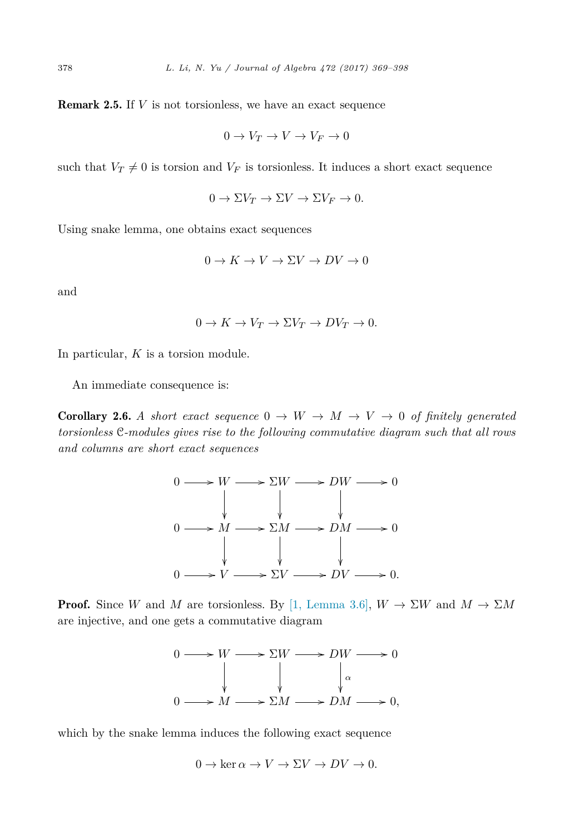<span id="page-9-0"></span>Remark 2.5. If *V* is not torsionless, we have an exact sequence

$$
0 \to V_T \to V \to V_F \to 0
$$

such that  $V_T \neq 0$  is torsion and  $V_F$  is torsionless. It induces a short exact sequence

$$
0 \to \Sigma V_T \to \Sigma V \to \Sigma V_F \to 0.
$$

Using snake lemma, one obtains exact sequences

$$
0 \to K \to V \to \Sigma V \to DV \to 0
$$

and

$$
0 \to K \to V_T \to \Sigma V_T \to DV_T \to 0.
$$

In particular, *K* is a torsion module.

An immediate consequence is:

**Corollary 2.6.** A short exact sequence  $0 \rightarrow W \rightarrow M \rightarrow V \rightarrow 0$  of finitely generated *torsionless* C*-modules gives rise to the following commutative diagram such that all rows and columns are short exact sequences*



**Proof.** Since *W* and *M* are torsionless. By [1, [Lemma](#page-29-0) 3.6],  $W \to \Sigma W$  and  $M \to \Sigma M$ are injective, and one gets a commutative diagram



which by the snake lemma induces the following exact sequence

$$
0 \to \ker \alpha \to V \to \Sigma V \to DV \to 0.
$$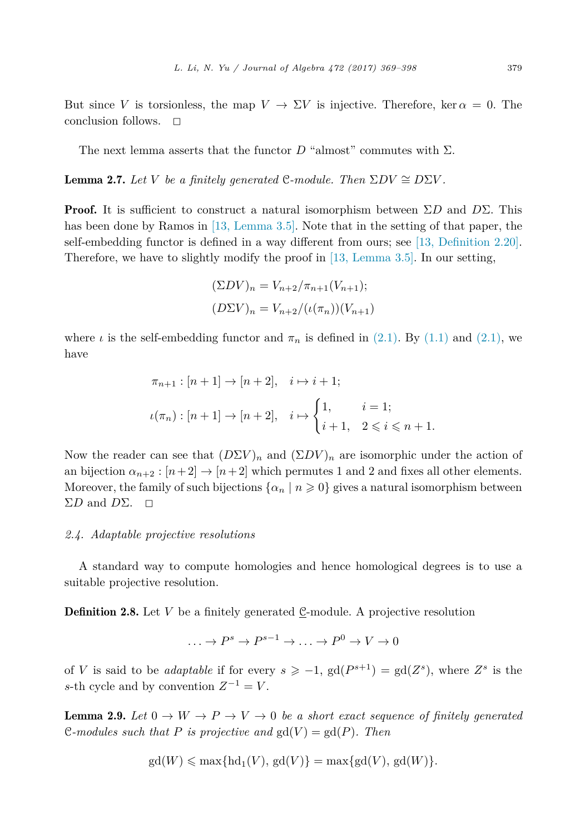<span id="page-10-0"></span>But since *V* is torsionless, the map  $V \to \Sigma V$  is injective. Therefore, ker  $\alpha = 0$ . The conclusion follows.  $\Box$ 

The next lemma asserts that the functor  $D$  "almost" commutes with  $\Sigma$ .

**Lemma 2.7.** Let V be a finitely generated C-module. Then  $\Sigma DV \cong D\Sigma V$ .

**Proof.** It is sufficient to construct a natural isomorphism between  $\Sigma D$  and  $D\Sigma$ . This has been done by Ramos in [13, [Lemma](#page-29-0) 3.5]. Note that in the setting of that paper, the self-embedding functor is defined in a way different from ours; see [13, [Definition](#page-29-0) 2.20]. Therefore, we have to slightly modify the proof in [13, [Lemma](#page-29-0) 3.5]. In our setting,

$$
(\Sigma DV)_n = V_{n+2}/\pi_{n+1}(V_{n+1});
$$
  

$$
(D\Sigma V)_n = V_{n+2}/(\iota(\pi_n))(V_{n+1})
$$

where  $\iota$  is the self-embedding functor and  $\pi_n$  is defined in [\(2.1\).](#page-8-0) By [\(1.1\)](#page-2-0) and [\(2.1\),](#page-8-0) we have

$$
\pi_{n+1} : [n+1] \to [n+2], \quad i \mapsto i+1;
$$
  

$$
\iota(\pi_n) : [n+1] \to [n+2], \quad i \mapsto \begin{cases} 1, & i = 1; \\ i+1, & 2 \leq i \leq n+1. \end{cases}
$$

Now the reader can see that  $(D\Sigma V)_n$  and  $(\Sigma DV)_n$  are isomorphic under the action of an bijection  $\alpha_{n+2} : [n+2] \rightarrow [n+2]$  which permutes 1 and 2 and fixes all other elements. Moreover, the family of such bijections  $\{\alpha_n \mid n \geq 0\}$  gives a natural isomorphism between  $\Sigma D$  and  $D\Sigma$ .  $\square$ 

#### *2.4. Adaptable projective resolutions*

A standard way to compute homologies and hence homological degrees is to use a suitable projective resolution.

**Definition 2.8.** Let *V* be a finitely generated C-module. A projective resolution

$$
\ldots \to P^s \to P^{s-1} \to \ldots \to P^0 \to V \to 0
$$

of *V* is said to be *adaptable* if for every  $s \ge -1$ ,  $gd(P^{s+1}) = gd(Z^s)$ , where  $Z^s$  is the *s*-th cycle and by convention  $Z^{-1} = V$ .

**Lemma 2.9.** Let  $0 \to W \to P \to V \to 0$  be a short exact sequence of finitely generated C-modules such that P is projective and  $gd(V) = gd(P)$ . Then

$$
\mathrm{gd}(W) \leqslant \max\{\mathrm{hd}_1(V), \mathrm{gd}(V)\} = \max\{\mathrm{gd}(V), \mathrm{gd}(W)\}.
$$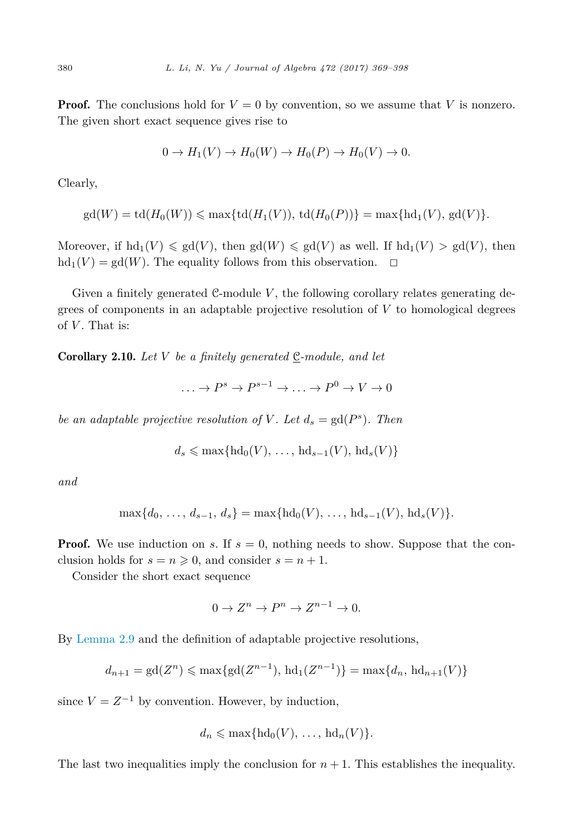<span id="page-11-0"></span>**Proof.** The conclusions hold for  $V = 0$  by convention, so we assume that V is nonzero. The given short exact sequence gives rise to

$$
0 \to H_1(V) \to H_0(W) \to H_0(P) \to H_0(V) \to 0.
$$

Clearly,

$$
gd(W) = td(H_0(W)) \le max\{td(H_1(V)), td(H_0(P))\} = max\{hd_1(V), gd(V)\}.
$$

Moreover, if  $hd_1(V) \leq g d(V)$ , then  $gd(W) \leq g d(V)$  as well. If  $hd_1(V) > gd(V)$ , then  $hd_1(V) = gd(W)$ . The equality follows from this observation.  $\Box$ 

Given a finitely generated C-module V, the following corollary relates generating degrees of components in an adaptable projective resolution of *V* to homological degrees of  $V$ . That is:

**Corollary 2.10.** Let V be a finitely generated  $\underline{C}$ -module, and let

 $P^s \to P^{s-1} \to \ldots \to P^0 \to V \to 0$ 

*be an adaptable projective resolution of V*. Let  $d_s = \text{gd}(P^s)$ . Then

$$
d_s \leqslant \max\{\text{hd}_0(V), \ldots, \text{hd}_{s-1}(V), \text{hd}_s(V)\}\
$$

*and*

$$
\max\{d_0, \ldots, d_{s-1}, d_s\} = \max\{\text{hd}_0(V), \ldots, \text{hd}_{s-1}(V), \text{hd}_s(V)\}.
$$

**Proof.** We use induction on *s*. If  $s = 0$ , nothing needs to show. Suppose that the conclusion holds for  $s = n \geq 0$ , and consider  $s = n + 1$ .

Consider the short exact sequence

$$
0 \to Z^n \to P^n \to Z^{n-1} \to 0.
$$

By [Lemma 2.9](#page-10-0) and the definition of adaptable projective resolutions,

$$
d_{n+1} = \text{gd}(Z^n) \le \max\{\text{gd}(Z^{n-1}), \text{hd}_1(Z^{n-1})\} = \max\{d_n, \text{hd}_{n+1}(V)\}\
$$

since  $V = Z^{-1}$  by convention. However, by induction,

$$
d_n \leqslant \max\{\text{hd}_0(V), \ldots, \text{hd}_n(V)\}.
$$

The last two inequalities imply the conclusion for  $n + 1$ . This establishes the inequality.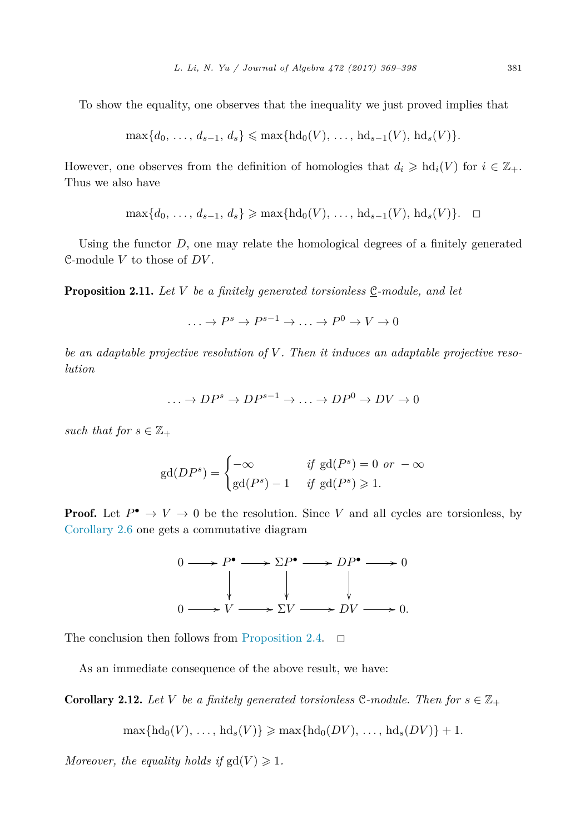<span id="page-12-0"></span>To show the equality, one observes that the inequality we just proved implies that

$$
\max\{d_0, \ldots, d_{s-1}, d_s\} \leq \max\{\text{hd}_0(V), \ldots, \text{hd}_{s-1}(V), \text{hd}_s(V)\}.
$$

However, one observes from the definition of homologies that  $d_i \geq \text{hd}_i(V)$  for  $i \in \mathbb{Z}_+$ . Thus we also have

$$
\max\{d_0, \ldots, d_{s-1}, d_s\} \ge \max\{\text{hd}_0(V), \ldots, \text{hd}_{s-1}(V), \text{hd}_s(V)\}.
$$

Using the functor *D*, one may relate the homological degrees of a finitely generated C-module  $V$  to those of  $DV.$ 

**Proposition 2.11.** Let V be a finitely generated torsionless  $C$ -module, and let

 $\rightarrow P^s \rightarrow P^{s-1} \rightarrow P^0 \rightarrow V \rightarrow 0$ 

*be an adaptable projective resolution of V . Then it induces an adaptable projective resolution*

$$
\dots \to DP^s \to DP^{s-1} \to \dots \to DP^0 \to DV \to 0
$$

*such that for*  $s \in \mathbb{Z}_+$ 

$$
\text{gd}(DP^s) = \begin{cases}\n-\infty & \text{if } \text{gd}(P^s) = 0 \text{ or } -\infty \\
\text{gd}(P^s) - 1 & \text{if } \text{gd}(P^s) \ge 1.\n\end{cases}
$$

**Proof.** Let  $P^{\bullet} \to V \to 0$  be the resolution. Since V and all cycles are torsionless, by [Corollary 2.6](#page-9-0) one gets a commutative diagram



The conclusion then follows from [Proposition 2.4.](#page-8-0)  $\Box$ 

As an immediate consequence of the above result, we have:

**Corollary 2.12.** Let *V* be a finitely generated torsionless C-module. Then for  $s \in \mathbb{Z}_+$ 

 $\max\{\text{hd}_{0}(V), \ldots, \text{hd}_{s}(V)\} \geq \max\{\text{hd}_{0}(DV), \ldots, \text{hd}_{s}(DV)\} + 1.$ 

*Moreover, the equality holds if*  $gd(V) \geq 1$ *.*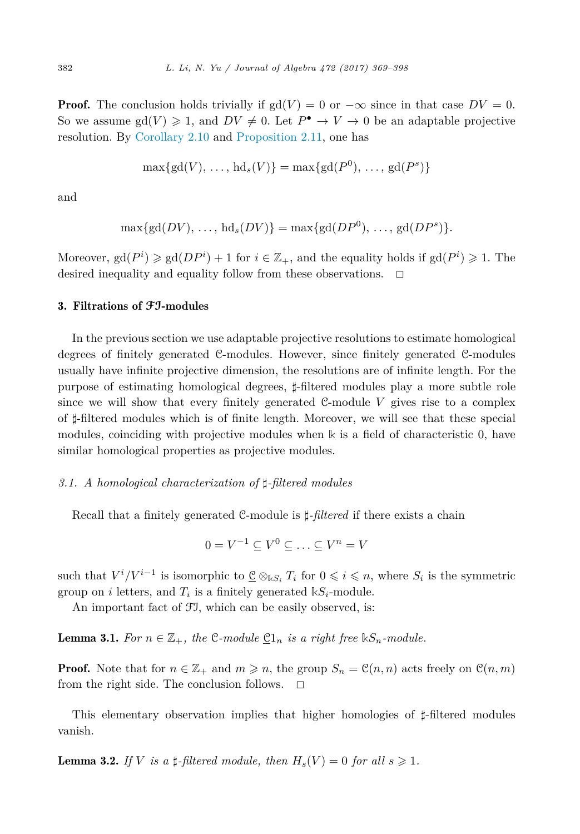<span id="page-13-0"></span>**Proof.** The conclusion holds trivially if  $gd(V) = 0$  or  $-\infty$  since in that case  $DV = 0$ . So we assume  $gd(V) \geq 1$ , and  $DV \neq 0$ . Let  $P^{\bullet} \to V \to 0$  be an adaptable projective resolution. By [Corollary 2.10](#page-11-0) and [Proposition 2.11,](#page-12-0) one has

$$
\max\{gd(V),\ldots, hd_s(V)\} = \max\{gd(P^0),\ldots, gd(P^s)\}
$$

and

$$
\max\{gd(DV),\ldots,\,hd_s(DV)\}=\max\{gd(DP^0),\ldots,\,gd(DP^s)\}.
$$

Moreover,  $gd(P^i) \geq gd(DP^i) + 1$  for  $i \in \mathbb{Z}_+$ , and the equality holds if  $gd(P^i) \geq 1$ . The desired inequality and equality follow from these observations.  $\Box$ 

# 3. Filtrations of **FI**-modules

In the previous section we use adaptable projective resolutions to estimate homological degrees of finitely generated C-modules. However, since finitely generated C-modules usually have infinite projective dimension, the resolutions are of infinite length. For the purpose of estimating homological degrees,  $\sharp$ -filtered modules play a more subtle role since we will show that every finitely generated  $C$ -module  $V$  gives rise to a complex of  $\sharp$ -filtered modules which is of finite length. Moreover, we will see that these special modules, coinciding with projective modules when **k** is a field of characteristic 0, have similar homological properties as projective modules.

# *3.1. A homological characterization of --filtered modules*

Recall that a finitely generated C-module is  $\sharp$ -*filtered* if there exists a chain

$$
0 = V^{-1} \subseteq V^0 \subseteq \ldots \subseteq V^n = V
$$

such that  $V^{i}/V^{i-1}$  is isomorphic to  $\underline{\mathcal{C}} \otimes_{\Bbbk S_i} T_i$  for  $0 \leq i \leq n$ , where  $S_i$  is the symmetric group on *i* letters, and  $T_i$  is a finitely generated  $\mathbb{k}S_i$ -module.

An important fact of FI, which can be easily observed, is:

**Lemma 3.1.** For  $n \in \mathbb{Z}_+$ , the C-module  $\mathbb{C}1_n$  is a right free  $\mathbb{k}S_n$ -module.

**Proof.** Note that for  $n \in \mathbb{Z}_+$  and  $m \geq n$ , the group  $S_n = \mathcal{C}(n, n)$  acts freely on  $\mathcal{C}(n, m)$ from the right side. The conclusion follows.  $\Box$ 

This elementary observation implies that higher homologies of  $\sharp$ -filtered modules vanish.

**Lemma 3.2.** If V is a  $\sharp$ -filtered module, then  $H_s(V) = 0$  for all  $s \geq 1$ .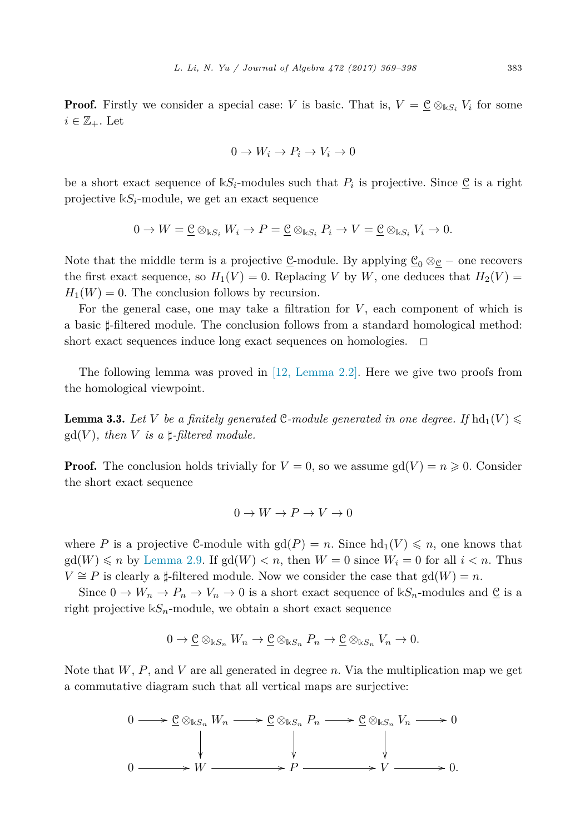<span id="page-14-0"></span>**Proof.** Firstly we consider a special case: *V* is basic. That is,  $V = \mathcal{Q} \otimes_{kS_i} V_i$  for some  $i \in \mathbb{Z}_{+}$ . Let

$$
0 \to W_i \to P_i \to V_i \to 0
$$

be a short exact sequence of  $kS_i$ -modules such that  $P_i$  is projective. Since  $\underline{C}$  is a right projective  $kS_i$ -module, we get an exact sequence

$$
0 \to W = \underline{\underline{\mathcal{C}}} \otimes_{\Bbbk S_i} W_i \to P = \underline{\underline{\mathcal{C}}} \otimes_{\Bbbk S_i} P_i \to V = \underline{\underline{\mathcal{C}}} \otimes_{\Bbbk S_i} V_i \to 0.
$$

Note that the middle term is a projective  $\underline{C}$ -module. By applying  $\underline{C}_0 \otimes_{\mathfrak{C}} -$  one recovers the first exact sequence, so  $H_1(V) = 0$ . Replacing *V* by *W*, one deduces that  $H_2(V) =$  $H_1(W) = 0$ . The conclusion follows by recursion.

For the general case, one may take a filtration for *V*, each component of which is a basic  $\sharp$ -filtered module. The conclusion follows from a standard homological method: short exact sequences induce long exact sequences on homologies.  $\Box$ 

The following lemma was proved in [12, [Lemma](#page-29-0) 2.2]. Here we give two proofs from the homological viewpoint.

**Lemma 3.3.** Let V be a finitely generated C-module generated in one degree. If  $\text{hd}_{1}(V) \leq$  $gd(V)$ *, then V is a*  $\sharp$ -*filtered module.* 

**Proof.** The conclusion holds trivially for  $V = 0$ , so we assume  $gd(V) = n \geq 0$ . Consider the short exact sequence

$$
0 \to W \to P \to V \to 0
$$

where P is a projective C-module with  $gd(P) = n$ . Since  $hd_1(V) \leq n$ , one knows that  $\gcd(W) \leq n$  by [Lemma 2.9.](#page-10-0) If  $\gcd(W) < n$ , then  $W = 0$  since  $W_i = 0$  for all  $i < n$ . Thus *V* ≅ *P* is clearly a  $\sharp$ -filtered module. Now we consider the case that  $gd(W) = n$ .

Since  $0 \to W_n \to P_n \to V_n \to 0$  is a short exact sequence of  $\mathbb{k}S_n$ -modules and  $\underline{\mathcal{C}}$  is a right projective  $\mathbb{k}S_n$ -module, we obtain a short exact sequence

$$
0 \to \underline{\mathcal{C}} \otimes_{\mathbb{K}S_n} W_n \to \underline{\mathcal{C}} \otimes_{\mathbb{K}S_n} P_n \to \underline{\mathcal{C}} \otimes_{\mathbb{K}S_n} V_n \to 0.
$$

Note that *W*, *P*, and *V* are all generated in degree *n*. Via the multiplication map we get a commutative diagram such that all vertical maps are surjective:

$$
0 \longrightarrow \underline{\underline{\mathcal{C}}} \otimes_{\Bbbk S_n} W_n \longrightarrow \underline{\underline{\mathcal{C}}} \otimes_{\Bbbk S_n} P_n \longrightarrow \underline{\underline{\mathcal{C}}} \otimes_{\Bbbk S_n} V_n \longrightarrow 0
$$
  
\n
$$
\downarrow \qquad \qquad \downarrow
$$
  
\n
$$
0 \longrightarrow W \longrightarrow P \longrightarrow V \longrightarrow 0.
$$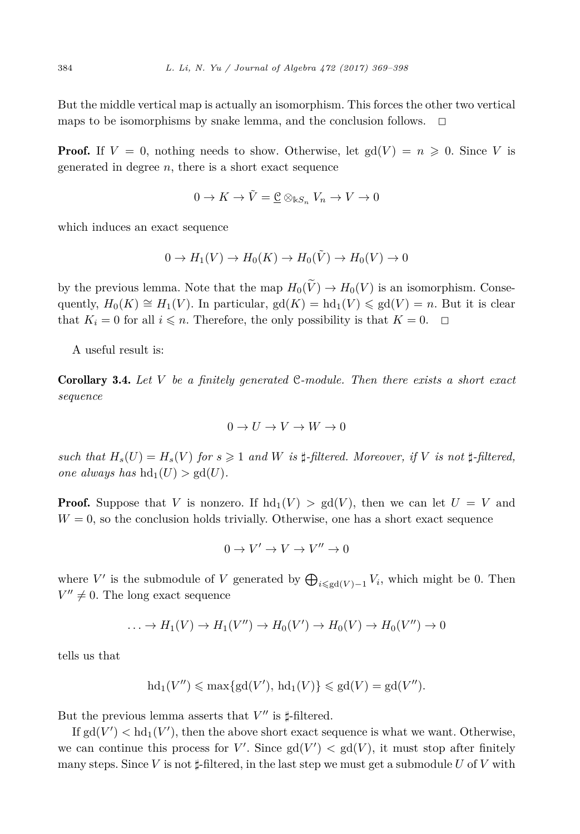<span id="page-15-0"></span>But the middle vertical map is actually an isomorphism. This forces the other two vertical maps to be isomorphisms by snake lemma, and the conclusion follows.  $\Box$ 

**Proof.** If  $V = 0$ , nothing needs to show. Otherwise, let  $gd(V) = n \geq 0$ . Since V is generated in degree  $n$ , there is a short exact sequence

$$
0 \to K \to \tilde{V} = \underline{\mathcal{C}} \otimes_{\mathbb{k}S_n} V_n \to V \to 0
$$

which induces an exact sequence

$$
0 \to H_1(V) \to H_0(K) \to H_0(\tilde{V}) \to H_0(V) \to 0
$$

by the previous lemma. Note that the map  $H_0(\tilde{V}) \to H_0(V)$  is an isomorphism. Consequently,  $H_0(K) \cong H_1(V)$ . In particular,  $gd(K) = hd_1(V) \leqslant gd(V) = n$ . But it is clear that  $K_i = 0$  for all  $i \leq n$ . Therefore, the only possibility is that  $K = 0$ .  $\Box$ 

A useful result is:

Corollary 3.4. *Let V be a finitely generated* C*-module. Then there exists a short exact sequence*

$$
0 \to U \to V \to W \to 0
$$

such that  $H_s(U) = H_s(V)$  for  $s \geq 1$  and W is  $\sharp$ -filtered. Moreover, if V is not  $\sharp$ -filtered, *one always has*  $hd_1(U) > gd(U)$ *.* 

**Proof.** Suppose that *V* is nonzero. If  $hd_1(V) > gd(V)$ , then we can let  $U = V$  and  $W = 0$ , so the conclusion holds trivially. Otherwise, one has a short exact sequence

$$
0 \to V' \to V \to V'' \to 0
$$

where  $V'$  is the submodule of  $V$  generated by  $\bigoplus_{i \leq \text{gd}(V)-1} V_i$ , which might be 0. Then  $V'' \neq 0$ . The long exact sequence

$$
\dots \to H_1(V) \to H_1(V'') \to H_0(V') \to H_0(V) \to H_0(V'') \to 0
$$

tells us that

$$
hd_1(V'') \leqslant max\{gd(V'), hd_1(V)\} \leqslant gd(V) = gd(V'').
$$

But the previous lemma asserts that  $V''$  is  $\sharp$ -filtered.

If  $gd(V') < hd_1(V')$ , then the above short exact sequence is what we want. Otherwise, we can continue this process for  $V'$ . Since  $gd(V') < gd(V)$ , it must stop after finitely many steps. Since *V* is not  $\sharp$ -filtered, in the last step we must get a submodule *U* of *V* with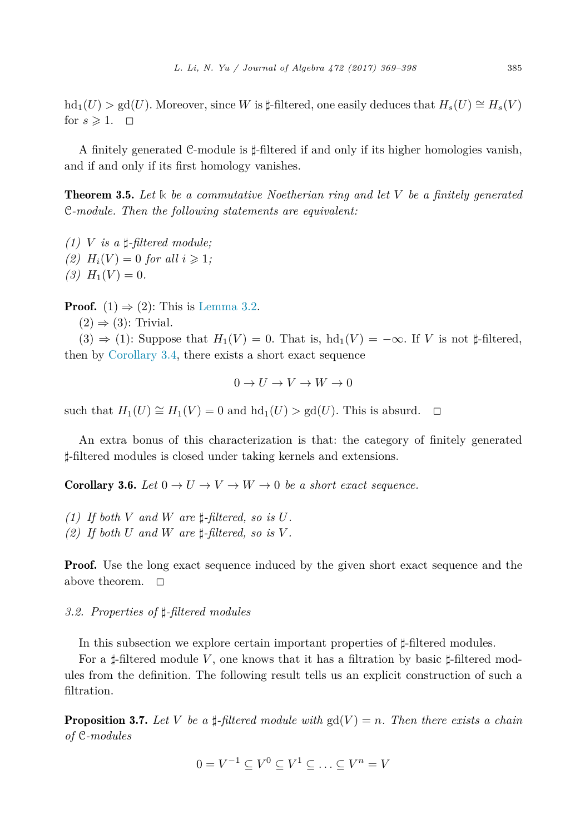<span id="page-16-0"></span> $\text{hd}_{1}(U) > \text{gd}(U)$ . Moreover, since *W* is  $\sharp$ -filtered, one easily deduces that  $H_{s}(U) \cong H_{s}(V)$ for  $s \geqslant 1$ .  $\Box$ 

A finitely generated C-module is  $\sharp$ -filtered if and only if its higher homologies vanish, and if and only if its first homology vanishes.

Theorem 3.5. *Let* **k** *be a commutative Noetherian ring and let V be a finitely generated* C*-module. Then the following statements are equivalent:*

 $(1)$  *V is a*  $\sharp$ -*filtered module*; (2)  $H_i(V) = 0$  *for all*  $i \geq 1$ ;  $(3)$   $H_1(V) = 0$ .

**Proof.** (1)  $\Rightarrow$  (2): This is [Lemma 3.2.](#page-13-0)

 $(2) \Rightarrow (3)$ : Trivial.

 $(3) \Rightarrow (1)$ : Suppose that  $H_1(V) = 0$ . That is,  $hd_1(V) = -\infty$ . If *V* is not  $\sharp$ -filtered, then by [Corollary 3.4,](#page-15-0) there exists a short exact sequence

$$
0 \to U \to V \to W \to 0
$$

such that  $H_1(U) \cong H_1(V) = 0$  and  $hd_1(U) > gd(U)$ . This is absurd.  $\Box$ 

An extra bonus of this characterization is that: the category of finitely generated *-*-filtered modules is closed under taking kernels and extensions.

**Corollary 3.6.** *Let*  $0 \to U \to V \to W \to 0$  *be a short exact sequence.* 

- $(1)$  *If both V and W are*  $\sharp$ -*filtered, so is U.*
- (2) If both U and W are  $\sharp$ -filtered, so is V.

**Proof.** Use the long exact sequence induced by the given short exact sequence and the above theorem.  $\square$ 

# *3.2. Properties of --filtered modules*

In this subsection we explore certain important properties of  $\sharp$ -filtered modules.

For a  $\sharp$ -filtered module *V*, one knows that it has a filtration by basic  $\sharp$ -filtered modules from the definition. The following result tells us an explicit construction of such a filtration.

**Proposition 3.7.** Let V be a  $\sharp$ -filtered module with  $gd(V) = n$ . Then there exists a chain *of* C*-modules*

$$
0 = V^{-1} \subseteq V^0 \subseteq V^1 \subseteq \ldots \subseteq V^n = V
$$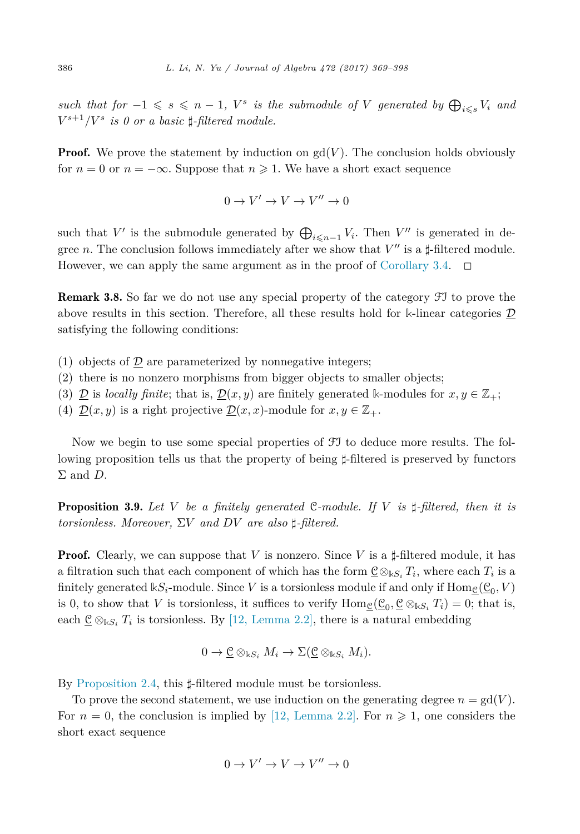<span id="page-17-0"></span> $such$  *that*  $for$   $-1 \le s \le n-1$ ,  $V^s$  *is the submodule of*  $V$  *generated by*  $\bigoplus_{i \le s} V_i$  *and*  $V^{s+1}/V^s$  *is* 0 *or a basic*  $\sharp$ -*filtered module.* 

**Proof.** We prove the statement by induction on  $gd(V)$ . The conclusion holds obviously for  $n = 0$  or  $n = -\infty$ . Suppose that  $n \ge 1$ . We have a short exact sequence

$$
0 \to V' \to V \to V'' \to 0
$$

such that *V'* is the submodule generated by  $\bigoplus_{i \leq n-1} V_i$ . Then *V''* is generated in degree *n*. The conclusion follows immediately after we show that  $V''$  is a  $\sharp$ -filtered module. However, we can apply the same argument as in the proof of [Corollary 3.4.](#page-15-0)  $\Box$ 

Remark 3.8. So far we do not use any special property of the category FI to prove the above results in this section. Therefore, all these results hold for **k**-linear categories D satisfying the following conditions:

- (1) objects of  $\mathcal D$  are parameterized by nonnegative integers;
- (2) there is no nonzero morphisms from bigger objects to smaller objects;
- (3)  $\mathcal{D}$  is *locally finite*; that is,  $\mathcal{D}(x, y)$  are finitely generated k-modules for  $x, y \in \mathbb{Z}_+$ ;
- (4)  $\underline{\mathcal{D}}(x, y)$  is a right projective  $\underline{\mathcal{D}}(x, x)$ -module for  $x, y \in \mathbb{Z}_+$ .

Now we begin to use some special properties of FI to deduce more results. The following proposition tells us that the property of being  $\sharp$ -filtered is preserved by functors Σ and *D*.

Proposition 3.9. *Let V be a finitely generated* C*-module. If V is --filtered, then it is torsionless. Moreover,* Σ*V and DV are also --filtered.*

**Proof.** Clearly, we can suppose that *V* is nonzero. Since *V* is a  $\sharp$ -filtered module, it has a filtration such that each component of which has the form  $\underline{\mathcal{C}} \otimes_{\mathbb{k}S_i} T_i$ , where each  $T_i$  is a finitely generated  $kS_i$ -module. Since *V* is a torsionless module if and only if  $\text{Hom}_{\mathcal{C}}(\underline{\mathcal{C}}_0, V)$ is 0, to show that *V* is torsionless, it suffices to verify  $\text{Hom}_{\mathcal{C}}(\underline{\mathcal{C}}_0, \underline{\mathcal{C}} \otimes_{kS_i} T_i) = 0$ ; that is, each  $\underline{\mathcal{C}} \otimes_{\Bbbk S_i} T_i$  is torsionless. By [12, [Lemma](#page-29-0) 2.2], there is a natural embedding

$$
0 \to \underline{\mathcal{C}} \otimes_{\Bbbk S_i} M_i \to \Sigma (\underline{\mathcal{C}} \otimes_{\Bbbk S_i} M_i).
$$

By [Proposition 2.4,](#page-8-0) this  $\sharp$ -filtered module must be torsionless.

To prove the second statement, we use induction on the generating degree  $n = \text{gd}(V)$ . For  $n = 0$ , the conclusion is implied by [12, [Lemma](#page-29-0) 2.2]. For  $n \geq 1$ , one considers the short exact sequence

$$
0 \to V' \to V \to V'' \to 0
$$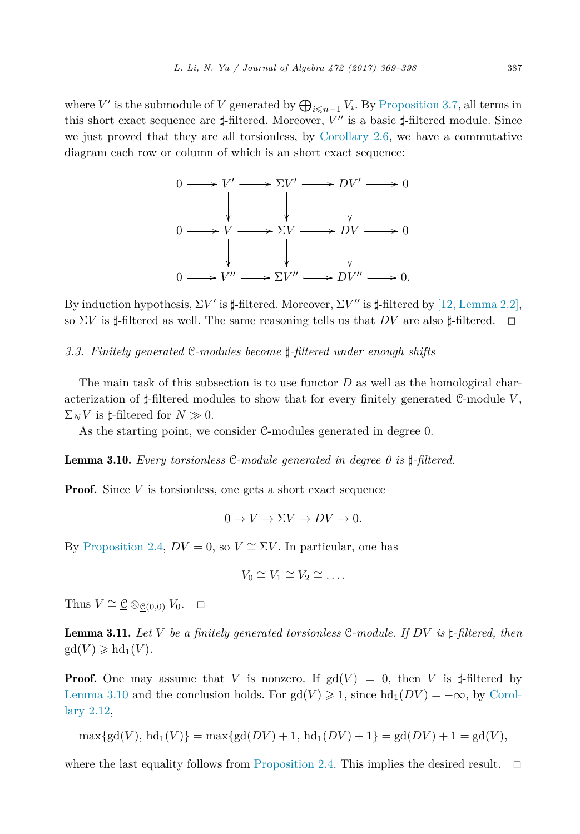<span id="page-18-0"></span>where *V'* is the submodule of *V* generated by  $\bigoplus_{i \leq n-1} V_i$ . By [Proposition 3.7,](#page-16-0) all terms in this short exact sequence are  $\sharp$ -filtered. Moreover, *V''* is a basic  $\sharp$ -filtered module. Since we just proved that they are all torsionless, by [Corollary 2.6,](#page-9-0) we have a commutative diagram each row or column of which is an short exact sequence:



By induction hypothesis,  $\Sigma V'$  is  $\sharp$ -filtered. Moreover,  $\Sigma V''$  is  $\sharp$ -filtered by  $[12, \mathrm{Lemma\ } 2.2],$  $[12, \mathrm{Lemma\ } 2.2],$  $[12, \mathrm{Lemma\ } 2.2],$ so  $\Sigma V$  is  $\sharp$ -filtered as well. The same reasoning tells us that  $DV$  are also  $\sharp$ -filtered.  $\Box$ 

# *3.3. Finitely generated* C*-modules become --filtered under enough shifts*

The main task of this subsection is to use functor *D* as well as the homological characterization of  $\sharp$ -filtered modules to show that for every finitely generated C-module V,  $\Sigma_N V$  is  $\sharp$ -filtered for  $N \gg 0$ .

As the starting point, we consider C-modules generated in degree 0.

Lemma 3.10. *Every torsionless* C*-module generated in degree 0 is --filtered.*

**Proof.** Since *V* is torsionless, one gets a short exact sequence

$$
0 \to V \to \Sigma V \to DV \to 0.
$$

By [Proposition 2.4,](#page-8-0)  $DV = 0$ , so  $V \cong \Sigma V$ . In particular, one has

$$
V_0\cong V_1\cong V_2\cong\ldots.
$$

Thus  $V \cong \underline{\mathcal{C}} \otimes_{\mathcal{C}(0,0)} V_0$ .  $\Box$ 

Lemma 3.11. *Let V be a finitely generated torsionless* C*-module. If DV is --filtered, then*  $gd(V) \geqslant hd_1(V)$ *.* 

**Proof.** One may assume that *V* is nonzero. If  $gd(V) = 0$ , then *V* is  $\sharp$ -filtered by Lemma 3.10 and the conclusion holds. For  $gd(V) \geq 1$ , since  $hd_1(DV) = -\infty$ , by [Corol](#page-12-0)[lary 2.12,](#page-12-0)

 $\max\{gd(V), bd_1(V)\} = \max\{gd(DV) + 1, bd_1(DV) + 1\} = gd(DV) + 1 = gd(V)$ 

where the last equality follows from [Proposition 2.4.](#page-8-0) This implies the desired result.  $\Box$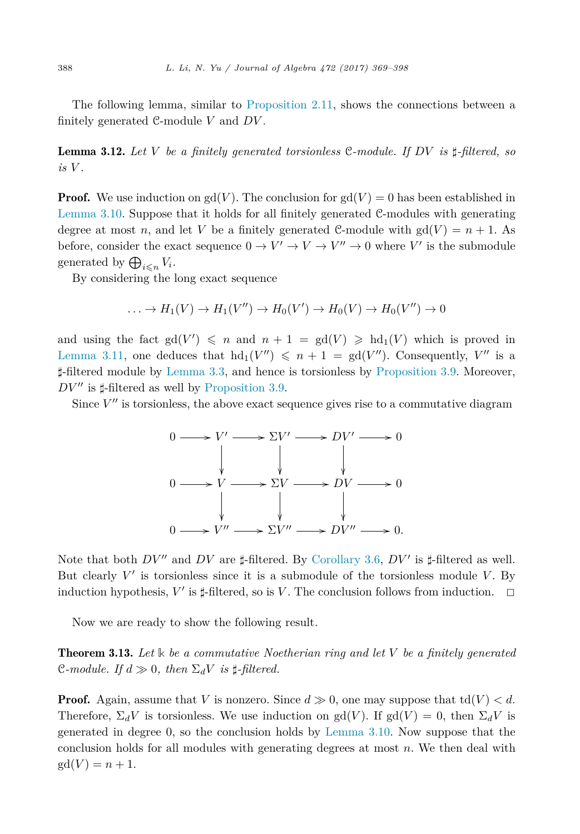<span id="page-19-0"></span>The following lemma, similar to [Proposition 2.11,](#page-12-0) shows the connections between a finitely generated C-module *V* and *DV* .

Lemma 3.12. *Let V be a finitely generated torsionless* C*-module. If DV is --filtered, so*  $i$ *s*  $V$ *.* 

**Proof.** We use induction on  $gd(V)$ . The conclusion for  $gd(V) = 0$  has been established in [Lemma 3.10.](#page-18-0) Suppose that it holds for all finitely generated C-modules with generating degree at most *n*, and let *V* be a finitely generated C-module with  $gd(V) = n + 1$ . As before, consider the exact sequence  $0 \to V' \to V \to V'' \to 0$  where V' is the submodule generated by  $\bigoplus_{i \leq n} V_i$ .

By considering the long exact sequence

$$
\dots \to H_1(V) \to H_1(V'') \to H_0(V') \to H_0(V) \to H_0(V'') \to 0
$$

and using the fact  $gd(V') \leq n$  and  $n+1 = gd(V) \geq hd_1(V)$  which is proved in [Lemma 3.11,](#page-18-0) one deduces that  $hd_1(V'') \leq n+1 = gd(V'')$ . Consequently,  $V''$  is a *-*-filtered module by [Lemma 3.3,](#page-14-0) and hence is torsionless by [Proposition 3.9.](#page-17-0) Moreover,  $DV''$  is  $\sharp$ -filtered as well by [Proposition 3.9.](#page-17-0)

Since  $V''$  is torsionless, the above exact sequence gives rise to a commutative diagram



Note that both  $DV''$  and  $DV$  are  $\sharp$ -filtered. By [Corollary 3.6,](#page-16-0)  $DV'$  is  $\sharp$ -filtered as well. But clearly  $V'$  is torsionless since it is a submodule of the torsionless module  $V$ . By induction hypothesis,  $V'$  is  $\sharp$ -filtered, so is  $V$ . The conclusion follows from induction.  $\Box$ 

Now we are ready to show the following result.

Theorem 3.13. *Let* **k** *be a commutative Noetherian ring and let V be a finitely generated*  $\mathbb{C}\text{-}module.$  *If*  $d \gg 0$ , then  $\Sigma_d V$  *is*  $\sharp$ -filtered.

**Proof.** Again, assume that *V* is nonzero. Since  $d \geq 0$ , one may suppose that  $td(V) < d$ . Therefore,  $\Sigma_d V$  is torsionless. We use induction on gd(*V*). If gd(*V*) = 0, then  $\Sigma_d V$  is generated in degree 0, so the conclusion holds by [Lemma 3.10.](#page-18-0) Now suppose that the conclusion holds for all modules with generating degrees at most *n*. We then deal with  $gd(V) = n + 1.$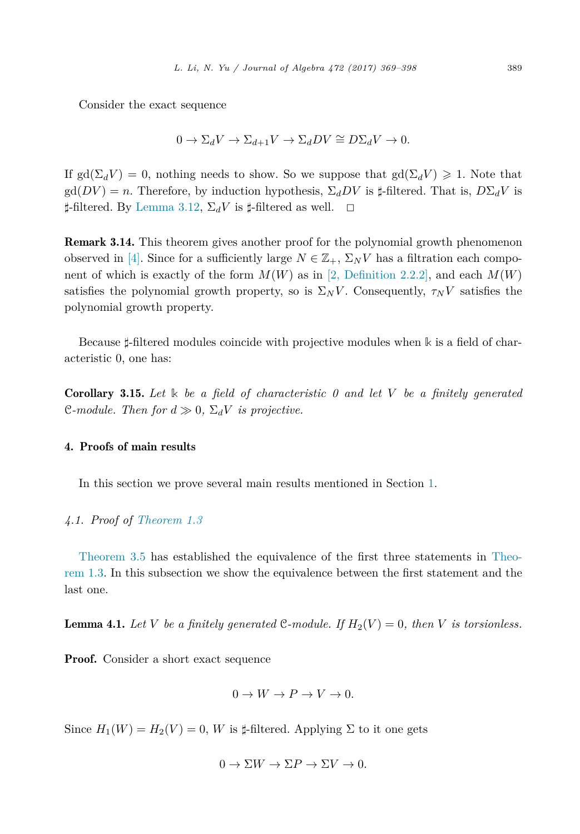<span id="page-20-0"></span>Consider the exact sequence

$$
0 \to \Sigma_d V \to \Sigma_{d+1} V \to \Sigma_d DV \cong D\Sigma_d V \to 0.
$$

If gd( $\Sigma_d V$ ) = 0, nothing needs to show. So we suppose that gd( $\Sigma_d V$ )  $\geq 1$ . Note that  $gd(DV) = n$ . Therefore, by induction hypothesis,  $\Sigma_d DV$  is  $\sharp$ -filtered. That is,  $D\Sigma_d V$  is  $\sharp$ -filtered. By [Lemma 3.12,](#page-19-0)  $\Sigma_d V$  is  $\sharp$ -filtered as well.  $\Box$ 

Remark 3.14. This theorem gives another proof for the polynomial growth phenomenon observed in [\[4\].](#page-29-0) Since for a sufficiently large  $N \in \mathbb{Z}_+$ ,  $\Sigma_N V$  has a filtration each component of which is exactly of the form  $M(W)$  as in [2, [Definition](#page-29-0) 2.2.2], and each  $M(W)$ satisfies the polynomial growth property, so is  $\Sigma_N V$ . Consequently,  $\tau_N V$  satisfies the polynomial growth property.

Because  $\sharp$ -filtered modules coincide with projective modules when  $\Bbbk$  is a field of characteristic 0, one has:

Corollary 3.15. *Let* **k** *be a field of characteristic 0 and let V be a finitely generated*  $\mathcal{C}\text{-}module.$  *Then for*  $d \gg 0$ ,  $\Sigma_d V$  *is projective.* 

# 4. Proofs of main results

In this section we prove several main results mentioned in Section [1.](#page-1-0)

# *4.1. Proof of [Theorem 1.3](#page-4-0)*

[Theorem 3.5](#page-16-0) has established the equivalence of the first three statements in [Theo](#page-4-0)[rem 1.3.](#page-4-0) In this subsection we show the equivalence between the first statement and the last one.

**Lemma 4.1.** Let V be a finitely generated C-module. If  $H_2(V) = 0$ , then V is torsionless.

Proof. Consider a short exact sequence

$$
0 \to W \to P \to V \to 0.
$$

Since  $H_1(W) = H_2(V) = 0$ , *W* is  $\sharp$ -filtered. Applying  $\Sigma$  to it one gets

$$
0 \to \Sigma W \to \Sigma P \to \Sigma V \to 0.
$$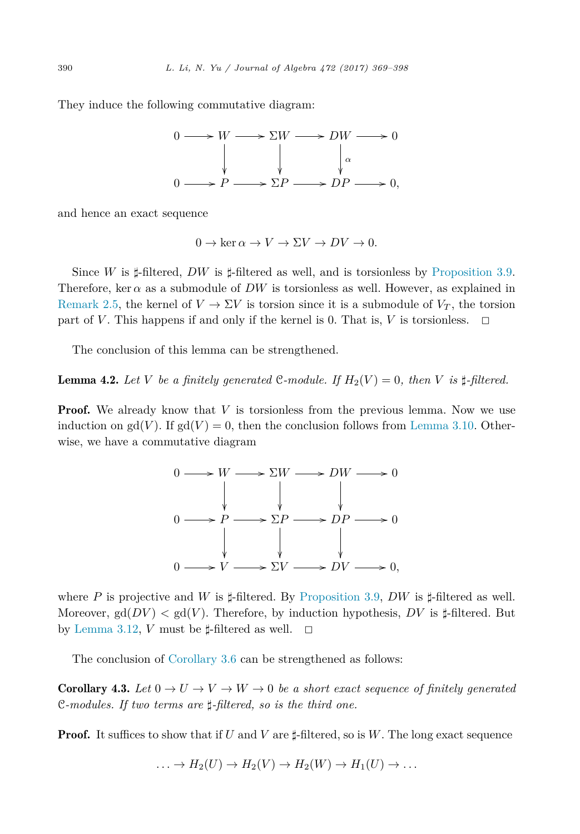<span id="page-21-0"></span>They induce the following commutative diagram:



and hence an exact sequence

$$
0 \to \ker \alpha \to V \to \Sigma V \to DV \to 0.
$$

Since *W* is  $\sharp$ -filtered, *DW* is  $\sharp$ -filtered as well, and is torsionless by [Proposition 3.9.](#page-17-0) Therefore, ker  $\alpha$  as a submodule of *DW* is torsionless as well. However, as explained in [Remark 2.5,](#page-9-0) the kernel of  $V \to \Sigma V$  is torsion since it is a submodule of  $V_T$ , the torsion part of *V*. This happens if and only if the kernel is 0. That is, *V* is torsionless.  $\Box$ 

The conclusion of this lemma can be strengthened.

**Lemma 4.2.** Let V be a finitely generated C-module. If  $H_2(V) = 0$ , then V is  $\sharp$ -filtered.

**Proof.** We already know that V is torsionless from the previous lemma. Now we use induction on  $gd(V)$ . If  $gd(V) = 0$ , then the conclusion follows from [Lemma 3.10.](#page-18-0) Otherwise, we have a commutative diagram



where P is projective and W is  $\sharp$ -filtered. By [Proposition 3.9,](#page-17-0) DW is  $\sharp$ -filtered as well. Moreover,  $gd(DV) < gd(V)$ . Therefore, by induction hypothesis,  $DV$  is  $\sharp$ -filtered. But by [Lemma 3.12,](#page-19-0) *V* must be  $\sharp$ -filtered as well.  $\Box$ 

The conclusion of [Corollary 3.6](#page-16-0) can be strengthened as follows:

**Corollary 4.3.** Let  $0 \to U \to V \to W \to 0$  be a short exact sequence of finitely generated C*-modules. If two terms are --filtered, so is the third one.*

**Proof.** It suffices to show that if *U* and *V* are  $\sharp$ -filtered, so is *W*. The long exact sequence

$$
\ldots \to H_2(U) \to H_2(V) \to H_2(W) \to H_1(U) \to \ldots
$$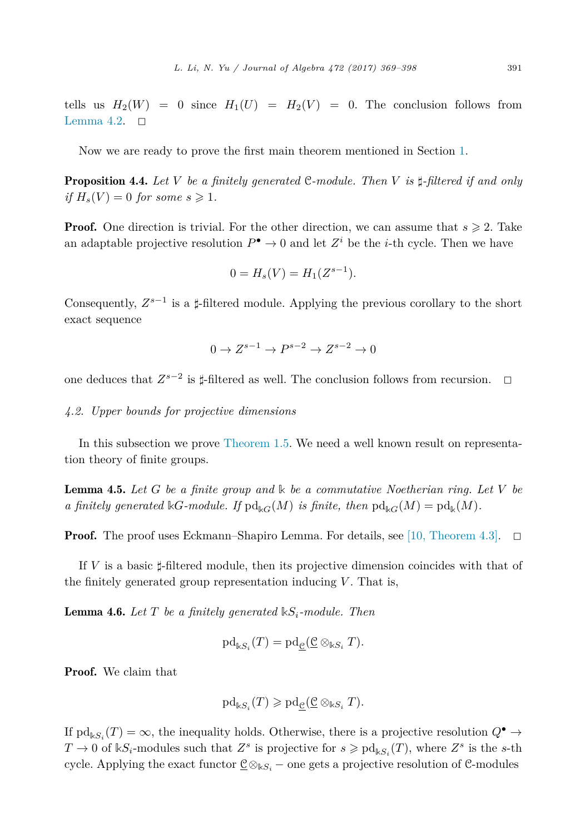<span id="page-22-0"></span>tells us  $H_2(W) = 0$  since  $H_1(U) = H_2(V) = 0$ . The conclusion follows from [Lemma 4.2.](#page-21-0)  $\Box$ 

Now we are ready to prove the first main theorem mentioned in Section [1.](#page-1-0)

Proposition 4.4. *Let V be a finitely generated* C*-module. Then V is --filtered if and only if*  $H_s(V) = 0$  *for some*  $s \ge 1$ *.* 

**Proof.** One direction is trivial. For the other direction, we can assume that  $s \ge 2$ . Take an adaptable projective resolution  $P^{\bullet} \to 0$  and let  $Z^i$  be the *i*-th cycle. Then we have

$$
0 = H_s(V) = H_1(Z^{s-1}).
$$

Consequently,  $Z^{s-1}$  is a  $\sharp$ -filtered module. Applying the previous corollary to the short exact sequence

$$
0 \to Z^{s-1} \to P^{s-2} \to Z^{s-2} \to 0
$$

one deduces that  $Z^{s-2}$  is  $\sharp$ -filtered as well. The conclusion follows from recursion.  $\Box$ 

#### *4.2. Upper bounds for projective dimensions*

In this subsection we prove [Theorem 1.5.](#page-4-0) We need a well known result on representation theory of finite groups.

Lemma 4.5. *Let G be a finite group and* **k** *be a commutative Noetherian ring. Let V be a* finitely generated  $\Bbbk G$ *-module.* If  $\text{pd}_{\Bbbk G}(M)$  *is finite, then*  $\text{pd}_{\Bbbk G}(M) = \text{pd}_{\Bbbk}(M)$ *.* 

**Proof.** The proof uses Eckmann–Shapiro Lemma. For details, see [10, [Theorem 4.3\].](#page-29-0)  $\Box$ 

If *V* is a basic  $\sharp$ -filtered module, then its projective dimension coincides with that of the finitely generated group representation inducing  $V$ . That is,

**Lemma 4.6.** Let  $T$  be a finitely generated  $\mathbb{k}S_i$ -module. Then

$$
\mathrm{pd}_{\Bbbk S_i}(T)=\mathrm{pd}_{\underline{\mathcal{C}}}(\underline{\mathcal{C}}\otimes_{\Bbbk S_i}T).
$$

Proof. We claim that

$$
\mathrm{pd}_{\Bbbk S_i}(T)\geqslant \mathrm{pd}_{\underline{\mathcal{C}}}(\underline{\mathcal{C}}\otimes_{\Bbbk S_i}T).
$$

If  $\text{pd}_{\mathbb{k}S}$   $(T) = \infty$ , the inequality holds. Otherwise, there is a projective resolution  $Q^{\bullet} \to$  $T \to 0$  of  $\mathbb{K}S_i$ -modules such that  $Z^s$  is projective for  $s \geq \text{pd}_{\mathbb{K}S_i}(T)$ , where  $Z^s$  is the *s*-th cycle. Applying the exact functor C⊗**k***S<sup>i</sup>* − one gets a projective resolution of C-modules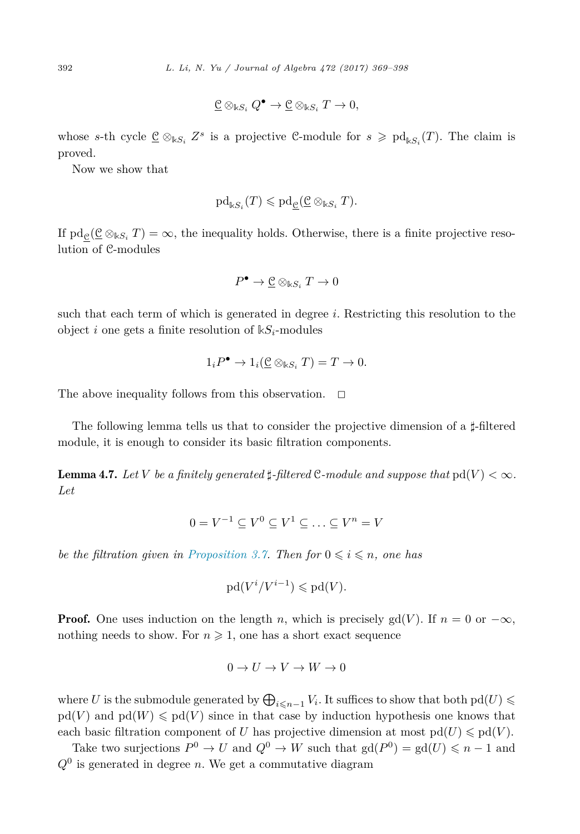$$
\underline{\mathcal{C}} \otimes_{\Bbbk S_i} Q^{\bullet} \to \underline{\mathcal{C}} \otimes_{\Bbbk S_i} T \to 0,
$$

<span id="page-23-0"></span>whose *s*-th cycle  $\underline{\mathcal{C}} \otimes_{\mathbb{K}S_i} Z^s$  is a projective C-module for  $s \geqslant \mathrm{pd}_{\mathbb{K}S_i}(T)$ . The claim is proved.

Now we show that

$$
\mathrm{pd}_{\Bbbk S_i}(T)\leqslant\mathrm{pd}_{\underline{\mathcal{C}}}(\underline{\mathcal{C}}\otimes_{\Bbbk S_i}T).
$$

If  $pd_e(\underline{C} \otimes_{kS_i} T) = \infty$ , the inequality holds. Otherwise, there is a finite projective resolution of C-modules

$$
P^{\bullet} \to \underline{\mathcal{C}} \otimes_{\Bbbk S_i} T \to 0
$$

such that each term of which is generated in degree *i*. Restricting this resolution to the object *i* one gets a finite resolution of  $kS_i$ -modules

$$
1_i P^{\bullet} \to 1_i(\underline{\mathcal{C}} \otimes_{\mathbb{k}S_i} T) = T \to 0.
$$

The above inequality follows from this observation.  $\Box$ 

The following lemma tells us that to consider the projective dimension of a  $\sharp$ -filtered module, it is enough to consider its basic filtration components.

**Lemma 4.7.** Let  $V$  be a finitely generated  $\sharp$ -filtered  $C$ -module and suppose that  $\text{pd}(V) < \infty$ . *Let*

$$
0 = V^{-1} \subseteq V^0 \subseteq V^1 \subseteq \ldots \subseteq V^n = V
$$

*be the filtration given in [Proposition 3.7.](#page-16-0) Then*  $for\ 0 \leq i \leq n$ *, one has* 

$$
\mathrm{pd}(V^i/V^{i-1}) \leqslant \mathrm{pd}(V).
$$

**Proof.** One uses induction on the length *n*, which is precisely gd(*V*). If  $n = 0$  or  $-\infty$ , nothing needs to show. For  $n \geq 1$ , one has a short exact sequence

$$
0 \to U \to V \to W \to 0
$$

where *U* is the submodule generated by  $\bigoplus_{i \leq n-1} V_i$ . It suffices to show that both pd(*U*)  $\leq$  $pd(V)$  and  $pd(W) \leqslant pd(V)$  since in that case by induction hypothesis one knows that each basic filtration component of *U* has projective dimension at most  $pd(U) \leqslant pd(V)$ .

Take two surjections  $P^0 \to U$  and  $Q^0 \to W$  such that  $gd(P^0) = gd(U) \leq n - 1$  and  $Q<sup>0</sup>$  is generated in degree *n*. We get a commutative diagram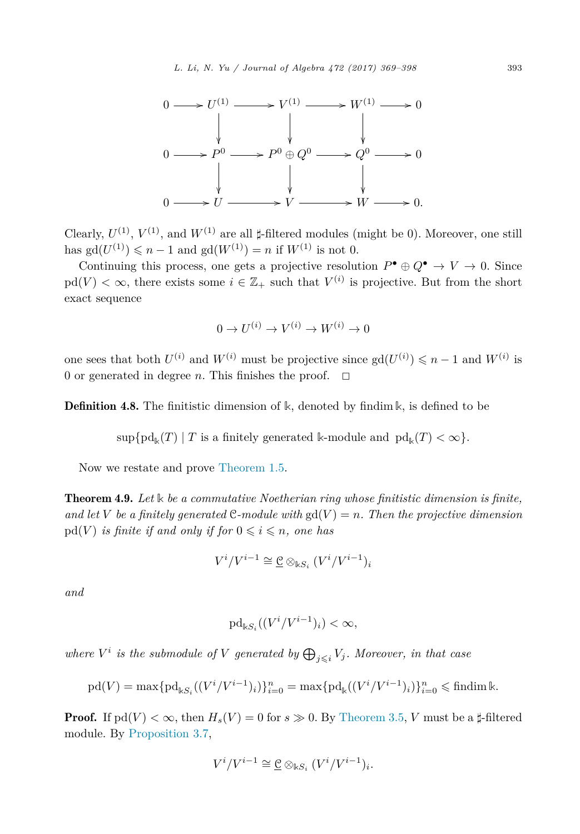

Clearly,  $U^{(1)}$ ,  $V^{(1)}$ , and  $W^{(1)}$  are all  $\sharp$ -filtered modules (might be 0). Moreover, one still has  $gd(U^{(1)}) \leq n - 1$  and  $gd(W^{(1)}) = n$  if  $W^{(1)}$  is not 0.

Continuing this process, one gets a projective resolution  $P^{\bullet} \oplus Q^{\bullet} \to V \to 0$ . Since  $pd(V) < \infty$ , there exists some  $i \in \mathbb{Z}_+$  such that  $V^{(i)}$  is projective. But from the short exact sequence

$$
0 \to U^{(i)} \to V^{(i)} \to W^{(i)} \to 0
$$

one sees that both  $U^{(i)}$  and  $W^{(i)}$  must be projective since  $gd(U^{(i)}) \leq n - 1$  and  $W^{(i)}$  is 0 or generated in degree *n*. This finishes the proof.  $\Box$ 

**Definition 4.8.** The finitistic dimension of  $\mathbb{k}$ , denoted by findim  $\mathbb{k}$ , is defined to be

 $\sup \{pd_k(T) | T \text{ is a finitely generated } k\text{-module and } pd_k(T) < \infty \}.$ 

Now we restate and prove [Theorem 1.5.](#page-4-0)

Theorem 4.9. *Let* **k** *be a commutative Noetherian ring whose finitistic dimension is finite,* and let V be a finitely generated C-module with  $gd(V) = n$ . Then the projective dimension  $pd(V)$  *is finite if and only if for*  $0 \leqslant i \leqslant n$ , *one has* 

$$
V^i/V^{i-1} \cong \underline{\mathcal{C}} \otimes_{\mathbb{k}S_i} (V^i/V^{i-1})_i
$$

*and*

$$
\mathrm{pd}_{\Bbbk S_i}((V^i/V^{i-1})_i)<\infty,
$$

*where*  $V^i$  *is the submodule of*  $V$  *generated by*  $\bigoplus_{j \leq i} V_j$ *. Moreover, in that case* 

$$
\text{pd}(V) = \max \{ \text{pd}_{\Bbbk S_i}((V^i/V^{i-1})_i) \}_{i=0}^n = \max \{ \text{pd}_{\Bbbk}((V^i/V^{i-1})_i) \}_{i=0}^n \leq \text{findim}\,\Bbbk.
$$

**Proof.** If  $pd(V) < \infty$ , then  $H_s(V) = 0$  for  $s \gg 0$ . By [Theorem 3.5,](#page-16-0) *V* must be a  $\sharp$ -filtered module. By [Proposition 3.7,](#page-16-0)

$$
V^i/V^{i-1} \cong \underline{\mathcal{C}} \otimes_{\mathbb{k}S_i} (V^i/V^{i-1})_i.
$$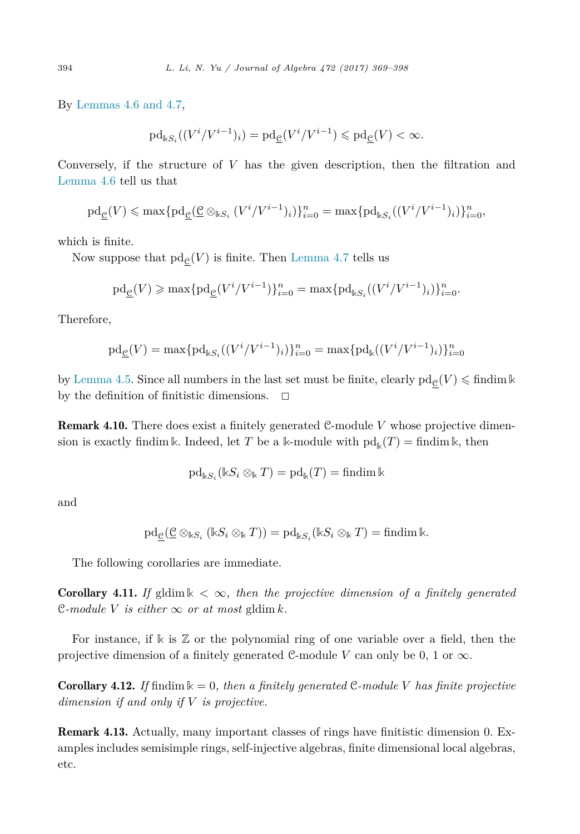By [Lemmas 4.6 and](#page-22-0) 4.7,

$$
\mathrm{pd}_{\Bbbk S_i}((V^i/V^{i-1})_i)=\mathrm{pd}_{\underline{\mathcal{C}}}(V^i/V^{i-1})\leqslant\mathrm{pd}_{\underline{\mathcal{C}}}(V)<\infty.
$$

Conversely, if the structure of *V* has the given description, then the filtration and [Lemma 4.6](#page-22-0) tell us that

$$
\mathrm{pd}_{\underline{c}}(V) \leqslant \max\{\mathrm{pd}_{\underline{c}}(\underline{c} \otimes_{\Bbbk S_i} (V^i/V^{i-1})_i)\}_{i=0}^n = \max\{\mathrm{pd}_{\Bbbk S_i}((V^i/V^{i-1})_i)\}_{i=0}^n,
$$

which is finite.

Now suppose that  $\text{pd}_{\mathcal{C}}(V)$  is finite. Then [Lemma 4.7](#page-23-0) tells us

$$
\mathrm{pd}_{\underline{c}}(V) \ge \max\{\mathrm{pd}_{\underline{c}}(V^{i}/V^{i-1})\}_{i=0}^{n} = \max\{\mathrm{pd}_{\Bbbk S_{i}}((V^{i}/V^{i-1})_{i})\}_{i=0}^{n}.
$$

Therefore,

$$
\mathrm{pd}_{\underline{c}}(V) = \max \{ \mathrm{pd}_{\Bbbk S_i}((V^i/V^{i-1})_i) \}_{i=0}^n = \max \{ \mathrm{pd}_{\Bbbk}((V^i/V^{i-1})_i) \}_{i=0}^n
$$

by [Lemma 4.5.](#page-22-0) Since all numbers in the last set must be finite, clearly  $\text{pd}_{\underline{c}}(V) \leqslant \text{findim} \, \Bbbk$ by the definition of finitistic dimensions.  $\Box$ 

Remark 4.10. There does exist a finitely generated C-module *V* whose projective dimension is exactly findim k. Indeed, let T be a k-module with  $pd_k(T) = \text{findim } k$ , then

$$
\mathrm{pd}_{\Bbbk S_i}(\Bbbk S_i\otimes_{\Bbbk}T)=\mathrm{pd}_{\Bbbk}(T)=\mathrm{findim}\,\Bbbk
$$

and

$$
\mathrm{pd}_{\underline{\mathcal{C}}}(\underline{\mathcal{C}}\otimes_{\Bbbk S_i} (\Bbbk S_i\otimes_{\Bbbk} T))=\mathrm{pd}_{\Bbbk S_i}(\Bbbk S_i\otimes_{\Bbbk} T)=\mathrm{findim}\,\Bbbk.
$$

The following corollaries are immediate.

**Corollary 4.11.** If gldim  $\Bbbk < \infty$ , then the projective dimension of a finitely generated  $\mathcal{C}\text{-}module V is either \infty \text{ or at most } \text{gldim } k.$ 

For instance, if **k** is Z or the polynomial ring of one variable over a field, then the projective dimension of a finitely generated C-module V can only be  $0, 1 \text{ or } \infty$ .

**Corollary 4.12.** If findim  $\mathbf{k} = 0$ , then a finitely generated C-module V has finite projective *dimension if and only if V is projective.*

Remark 4.13. Actually, many important classes of rings have finitistic dimension 0. Examples includes semisimple rings, self-injective algebras, finite dimensional local algebras, etc.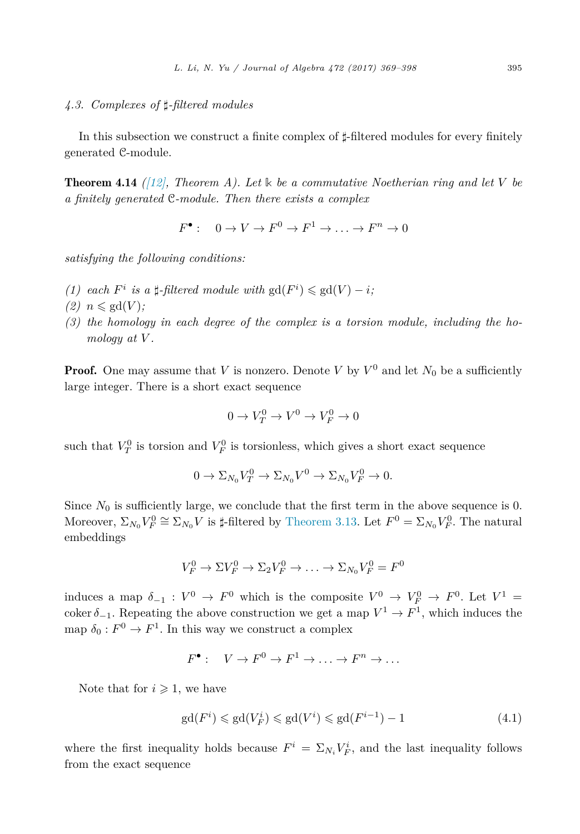# <span id="page-26-0"></span>*4.3. Complexes of --filtered modules*

In this subsection we construct a finite complex of  $\sharp$ -filtered modules for every finitely generated C-module.

Theorem 4.14 *[\(\[12\],](#page-29-0) Theorem A). Let* **k** *be a commutative Noetherian ring and let V be a finitely generated* C*-module. Then there exists a complex*

 $F^{\bullet}$ :  $0 \to V \to F^0 \to F^1 \to \ldots \to F^n \to 0$ 

*satisfying the following conditions:*

- *(1)* each  $F^i$  *is a*  $\sharp$ -filtered module with  $gd(F^i) \leq gd(V) i$ ;
- $(2)$   $n \leqslant \text{gd}(V)$ ;
- *(3) the homology in each degree of the complex is a torsion module, including the homology at V .*

**Proof.** One may assume that *V* is nonzero. Denote *V* by  $V^0$  and let  $N_0$  be a sufficiently large integer. There is a short exact sequence

$$
0 \to V_T^0 \to V^0 \to V_F^0 \to 0
$$

such that  $V_T^0$  is torsion and  $V_F^0$  is torsionless, which gives a short exact sequence

$$
0 \to \Sigma_{N_0} V_T^0 \to \Sigma_{N_0} V^0 \to \Sigma_{N_0} V_F^0 \to 0.
$$

Since  $N_0$  is sufficiently large, we conclude that the first term in the above sequence is 0. Moreover,  $\Sigma_{N_0} V_F^0 \cong \Sigma_{N_0} V$  is  $\sharp$ -filtered by [Theorem 3.13.](#page-19-0) Let  $F^0 = \Sigma_{N_0} V_F^0$ . The natural embeddings

$$
V_F^0 \to \Sigma V_F^0 \to \Sigma_2 V_F^0 \to \ldots \to \Sigma_{N_0} V_F^0 = F^0
$$

induces a map  $\delta_{-1} : V^0 \to F^0$  which is the composite  $V^0 \to V^0_F \to F^0$ . Let  $V^1 =$ coker  $\delta_{-1}$ . Repeating the above construction we get a map  $V^1 \to F^1$ , which induces the map  $\delta_0 : F^0 \to F^1$ . In this way we construct a complex

$$
F^{\bullet}: V \to F^0 \to F^1 \to \ldots \to F^n \to \ldots
$$

Note that for  $i \geqslant 1$ , we have

$$
\operatorname{gd}(F^i) \leqslant \operatorname{gd}(V_F^i) \leqslant \operatorname{gd}(V^i) \leqslant \operatorname{gd}(F^{i-1}) - 1\tag{4.1}
$$

where the first inequality holds because  $F^i = \sum_{N_i} V_F^i$ , and the last inequality follows from the exact sequence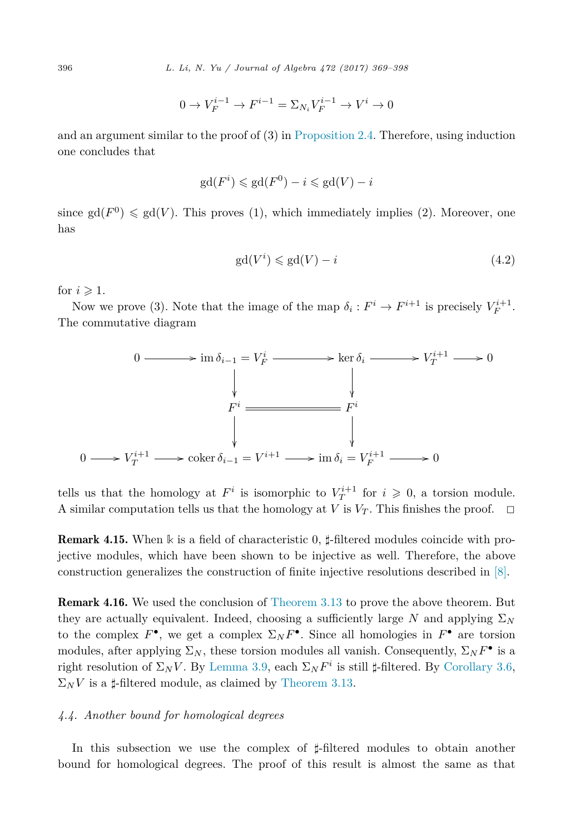$$
0 \to V_F^{i-1} \to F^{i-1} = \Sigma_{N_i} V_F^{i-1} \to V^i \to 0
$$

and an argument similar to the proof of (3) in [Proposition 2.4.](#page-8-0) Therefore, using induction one concludes that

$$
\mathrm{gd}(F^i) \leq \mathrm{gd}(F^0) - i \leq \mathrm{gd}(V) - i
$$

since  $gd(F^0) \leq g d(V)$ . This proves (1), which immediately implies (2). Moreover, one has

$$
gd(V^i) \leq g d(V) - i \tag{4.2}
$$

for  $i \geqslant 1$ .

Now we prove (3). Note that the image of the map  $\delta_i : F^i \to F^{i+1}$  is precisely  $V_F^{i+1}$ . The commutative diagram



tells us that the homology at  $F^i$  is isomorphic to  $V_T^{i+1}$  for  $i \geqslant 0$ , a torsion module. A similar computation tells us that the homology at *V* is  $V_T$ . This finishes the proof.  $\Box$ 

**Remark 4.15.** When k is a field of characteristic 0,  $\sharp$ -filtered modules coincide with projective modules, which have been shown to be injective as well. Therefore, the above construction generalizes the construction of finite injective resolutions described in [\[8\].](#page-29-0)

Remark 4.16. We used the conclusion of [Theorem 3.13](#page-19-0) to prove the above theorem. But they are actually equivalent. Indeed, choosing a sufficiently large *N* and applying  $\Sigma_N$ to the complex  $F^{\bullet}$ , we get a complex  $\Sigma_N F^{\bullet}$ . Since all homologies in  $F^{\bullet}$  are torsion modules, after applying  $\Sigma_N$ , these torsion modules all vanish. Consequently,  $\Sigma_N F^{\bullet}$  is a right resolution of  $\Sigma_N V$ . By [Lemma 3.9,](#page-17-0) each  $\Sigma_N F^i$  is still  $\sharp$ -filtered. By [Corollary 3.6,](#page-16-0)  $\Sigma_N V$  is a  $\sharp$ -filtered module, as claimed by [Theorem 3.13.](#page-19-0)

#### *4.4. Another bound for homological degrees*

In this subsection we use the complex of  $\sharp$ -filtered modules to obtain another bound for homological degrees. The proof of this result is almost the same as that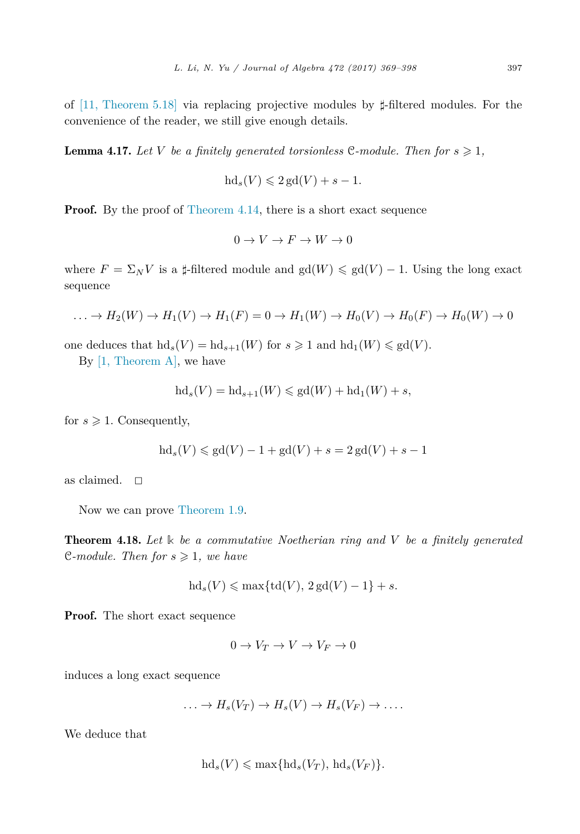of [\[11, Theorem 5.18\]](#page-29-0) via replacing projective modules by  $\sharp$ -filtered modules. For the convenience of the reader, we still give enough details.

**Lemma 4.17.** Let V be a finitely generated torsionless C-module. Then for  $s \geqslant 1$ ,

$$
\mathrm{hd}_s(V) \leqslant 2\,\mathrm{gd}(V) + s - 1.
$$

Proof. By the proof of [Theorem 4.14,](#page-26-0) there is a short exact sequence

$$
0 \to V \to F \to W \to 0
$$

where  $F = \Sigma_N V$  is a  $\sharp$ -filtered module and  $gd(W) \leq gd(V) - 1$ . Using the long exact sequence

$$
\dots \to H_2(W) \to H_1(V) \to H_1(F) = 0 \to H_1(W) \to H_0(V) \to H_0(F) \to H_0(W) \to 0
$$

one deduces that  $\mathrm{hd}_s(V) = \mathrm{hd}_{s+1}(W)$  for  $s \geq 1$  and  $\mathrm{hd}_1(W) \leq \mathrm{gd}(V)$ .

By [1, [Theorem A\],](#page-29-0) we have

$$
\mathrm{hd}_s(V) = \mathrm{hd}_{s+1}(W) \leqslant \mathrm{gd}(W) + \mathrm{hd}_1(W) + s,
$$

for  $s \geqslant 1$ . Consequently,

$$
hd_s(V) \le gd(V) - 1 + gd(V) + s = 2 gd(V) + s - 1
$$

as claimed.  $\square$ 

Now we can prove [Theorem 1.9.](#page-6-0)

Theorem 4.18. *Let* **k** *be a commutative Noetherian ring and V be a finitely generated* C-module. Then for  $s \geq 1$ , we have

$$
\mathrm{hd}_s(V)\leqslant \max\{\mathrm{td}(V),\,2\,\mathrm{gd}(V)-1\}+s.
$$

Proof. The short exact sequence

$$
0 \to V_T \to V \to V_F \to 0
$$

induces a long exact sequence

$$
\ldots \to H_s(V_T) \to H_s(V) \to H_s(V_F) \to \ldots
$$

We deduce that

$$
\mathrm{hd}_s(V)\leqslant \max\{\mathrm{hd}_s(V_T),\,\mathrm{hd}_s(V_F)\}.
$$